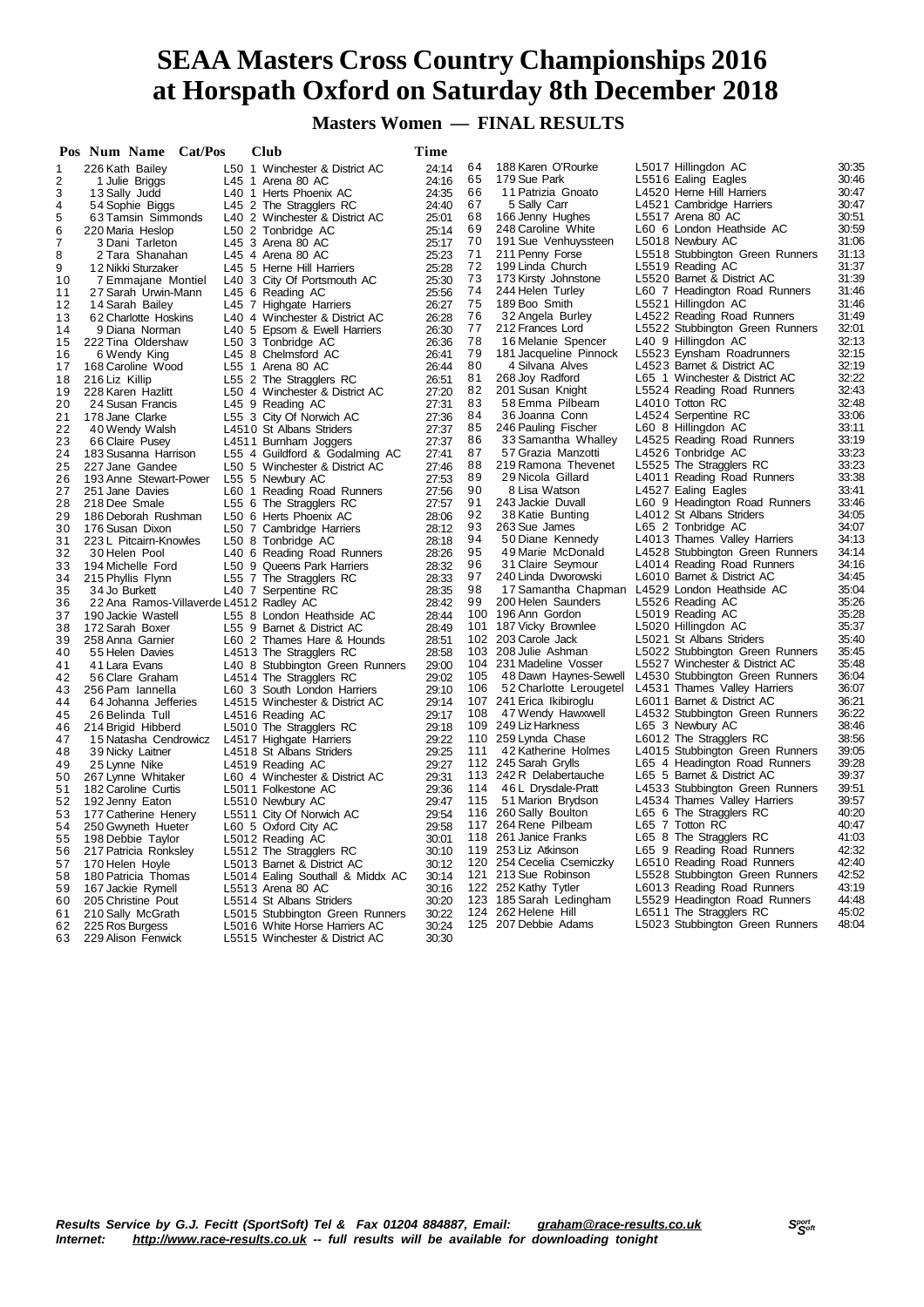# **SEAA Masters Cross Country Championships 2016 at Horspath Oxford on Saturday 8th December 2018**

**Masters Women — FINAL RESULTS**

|                     | Pos Num Name Cat/Pos                    |  | Club                                                   | Time           |          |                                                  |                                                                   |                |
|---------------------|-----------------------------------------|--|--------------------------------------------------------|----------------|----------|--------------------------------------------------|-------------------------------------------------------------------|----------------|
| 1                   | 226 Kath Bailey                         |  | L50 1 Winchester & District AC                         | 24:14          | 64       | 188 Karen O'Rourke                               | L5017 Hillingdon AC                                               | 30:35          |
| $\overline{c}$      | 1 Julie Briggs                          |  | L45 1 Arena 80 AC                                      | 24:16          | 65       | 179 Sue Park                                     | L5516 Ealing Eagles                                               | 30:46          |
| 3                   | 13 Sally Judd                           |  | L40 1 Herts Phoenix AC                                 | 24:35          | 66       | 11 Patrizia Gnoato                               | L4520 Herne Hill Harriers                                         | 30:47          |
| 4                   | 54 Sophie Biggs                         |  | L45 2 The Stragglers RC                                | 24:40          | 67       | 5 Sally Carr                                     | L4521 Cambridge Harriers                                          | 30:47          |
| 5                   | 63 Tamsin Simmonds                      |  | L40 2 Winchester & District AC                         | 25:01          | 68       | 166 Jenny Hughes                                 | L5517 Arena 80 AC                                                 | 30:51          |
| $\,6\,$             | 220 Maria Heslop                        |  | L50 2 Tonbridge AC                                     | 25:14          | 69<br>70 | 248 Caroline White<br>191 Sue Venhuyssteen       | L60 6 London Heathside AC<br>L5018 Newbury AC                     | 30:59<br>31:06 |
| $\overline{7}$<br>8 | 3 Dani Tarleton<br>2 Tara Shanahan      |  | L45 3 Arena 80 AC<br>L45 4 Arena 80 AC                 | 25:17<br>25:23 | 71       | 211 Penny Forse                                  | L5518 Stubbington Green Runners                                   | 31:13          |
| 9                   | 12 Nikki Sturzaker                      |  | L45 5 Herne Hill Harriers                              | 25:28          | 72       | 199 Linda Church                                 | L5519 Reading AC                                                  | 31:37          |
| 10                  | 7 Emmajane Montiel                      |  | L40 3 City Of Portsmouth AC                            | 25:30          | 73       | 173 Kirsty Johnstone                             | L5520 Barnet & District AC                                        | 31:39          |
| 11                  | 27 Sarah Urwin-Mann                     |  | L45 6 Reading AC                                       | 25:56          | 74       | 244 Helen Turley                                 | L60 7 Headington Road Runners                                     | 31:46          |
| 12                  | 14 Sarah Bailey                         |  | L45 7 Highgate Harriers                                | 26:27          | 75       | 189 Boo Smith                                    | L5521 Hillingdon AC                                               | 31:46          |
| 13                  | 62 Charlotte Hoskins                    |  | L40 4 Winchester & District AC                         | 26:28          | 76       | 32 Angela Burley                                 | L4522 Reading Road Runners                                        | 31:49          |
| 14                  | 9 Diana Norman                          |  | L40 5 Epsom & Ewell Harriers                           | 26:30          | 77       | 212 Frances Lord                                 | L5522 Stubbington Green Runners                                   | 32:01          |
| 15                  | 222 Tina Oldershaw                      |  | L50 3 Tonbridge AC                                     | 26:36          | 78       | 16 Melanie Spencer                               | L40 9 Hillingdon AC                                               | 32:13          |
| 16                  | 6 Wendy King                            |  | L45 8 Chelmsford AC                                    | 26:41          | 79       | 181 Jacqueline Pinnock                           | L5523 Eynsham Roadrunners                                         | 32:15          |
| 17                  | 168 Caroline Wood                       |  | L55 1 Arena 80 AC                                      | 26:44          | 80       | 4 Silvana Alves                                  | L4523 Barnet & District AC                                        | 32:19          |
| 18                  | 216 Liz Killip                          |  | L55 2 The Stragglers RC                                | 26:51          | 81       | 268 Joy Radford                                  | L65 1 Winchester & District AC                                    | 32:22          |
| 19                  | 228 Karen Hazlitt                       |  | L50 4 Winchester & District AC                         | 27:20          | 82       | 201 Susan Knight                                 | L5524 Reading Road Runners                                        | 32:43          |
| 20                  | 24 Susan Francis                        |  | L45 9 Reading AC                                       | 27:31          | 83       | 58 Emma Pilbeam                                  | L4010 Totton RC                                                   | 32:48          |
| 21                  | 178 Jane Clarke                         |  | L55 3 City Of Norwich AC                               | 27:36          | 84       | 36 Joanna Conn                                   | L4524 Serpentine RC                                               | 33:06          |
| 22                  | 40 Wendy Walsh                          |  | L4510 St Albans Striders                               | 27:37          | 85       | 246 Pauling Fischer                              | L60 8 Hillingdon AC                                               | 33:11          |
| 23                  | 66 Claire Pusey                         |  | L4511 Burnham Joggers                                  | 27:37          | 86<br>87 | 33 Samantha Whalley<br>57 Grazia Manzotti        | L4525 Reading Road Runners<br>L4526 Tonbridge AC                  | 33:19<br>33:23 |
| 24                  | 183 Susanna Harrison<br>227 Jane Gandee |  | L55 4 Guildford & Godalming AC                         | 27:41          | 88       | 219 Ramona Thevenet                              | L5525 The Stragglers RC                                           | 33:23          |
| 25<br>26            | 193 Anne Stewart-Power                  |  | L50 5 Winchester & District AC<br>L55 5 Newbury AC     | 27:46<br>27:53 | 89       | 29 Nicola Gillard                                | L4011 Reading Road Runners                                        | 33:38          |
| 27                  | 251 Jane Davies                         |  | L60 1 Reading Road Runners                             | 27:56          | 90       | 8 Lisa Watson                                    | L4527 Ealing Eagles                                               | 33:41          |
| 28                  | 218 Dee Smale                           |  | L55 6 The Stragglers RC                                | 27:57          | 91       | 243 Jackie Duvall                                | L60 9 Headington Road Runners                                     | 33:46          |
| 29                  | 186 Deborah Rushman                     |  | L50 6 Herts Phoenix AC                                 | 28:06          | 92       | 38 Katie Bunting                                 | L4012 St Albans Striders                                          | 34:05          |
| 30                  | 176 Susan Dixon                         |  | L50 7 Cambridge Harriers                               | 28:12          | 93       | 263 Sue James                                    | L65 2 Tonbridge AC                                                | 34:07          |
| 31                  | 223 L Pitcairn-Knowles                  |  | L50 8 Tonbridge AC                                     | 28:18          | 94       | 50 Diane Kennedy                                 | L4013 Thames Valley Harriers                                      | 34:13          |
| 32                  | 30 Helen Pool                           |  | L40 6 Reading Road Runners                             | 28:26          | 95       | 49 Marie McDonald                                | L4528 Stubbington Green Runners                                   | 34:14          |
| 33                  | 194 Michelle Ford                       |  | L50 9 Queens Park Harriers                             | 28:32          | 96       | 31 Claire Seymour                                | L4014 Reading Road Runners                                        | 34:16          |
| 34                  | 215 Phyllis Flynn                       |  | L55 7 The Stragglers RC                                | 28:33          | 97       | 240 Linda Dworowski                              | L6010 Barnet & District AC                                        | 34:45          |
| 35                  | 34 Jo Burkett                           |  | L40 7 Serpentine RC                                    | 28:35          | 98       | 17 Samantha Chapman L4529 London Heathside AC    |                                                                   | 35:04          |
| 36                  | 22 Ana Ramos-Villaverde L4512 Radley AC |  |                                                        | 28:42          | 99       | 200 Helen Saunders                               | L5526 Reading AC                                                  | 35:26          |
| 37                  | 190 Jackie Wastell                      |  | L55 8 London Heathside AC                              | 28:44          |          | 100 196 Ann Gordon                               | L5019 Reading AC                                                  | 35:28          |
| 38                  | 172 Sarah Boxer                         |  | L55 9 Barnet & District AC                             | 28:49          |          | 101 187 Vicky Brownlee                           | L5020 Hillingdon AC                                               | 35:37          |
| 39                  | 258 Anna Garnier                        |  | L60 2 Thames Hare & Hounds                             | 28:51          |          | 102 203 Carole Jack                              | L5021 St Albans Striders                                          | 35:40          |
| 40                  | 55 Helen Davies                         |  | L4513 The Stragglers RC                                | 28:58          |          | 103 208 Julie Ashman                             | L5022 Stubbington Green Runners<br>L5527 Winchester & District AC | 35:45          |
| 41                  | 41 Lara Evans                           |  | L40 8 Stubbington Green Runners                        | 29:00          | 105      | 104 231 Madeline Vosser<br>48 Dawn Haynes-Sewell | L4530 Stubbington Green Runners                                   | 35:48<br>36:04 |
| 42<br>43            | 56 Clare Graham<br>256 Pam Iannella     |  | L4514 The Stragglers RC<br>L60 3 South London Harriers | 29:02<br>29:10 | 106      | 52 Charlotte Lerougetel                          | L4531 Thames Valley Harriers                                      | 36:07          |
| 44                  | 64 Johanna Jefferies                    |  | L4515 Winchester & District AC                         | 29:14          |          | 107 241 Erica Ikibiroglu                         | L6011 Barnet & District AC                                        | 36:21          |
| 45                  | 26 Belinda Tull                         |  | L4516 Reading AC                                       | 29:17          | 108      | 47 Wendy Hawxwell                                | L4532 Stubbington Green Runners                                   | 36:22          |
| 46                  | 214 Brigid Hibberd                      |  | L5010 The Stragglers RC                                | 29:18          |          | 109 249 Liz Harkness                             | L65 3 Newbury AC                                                  | 38:46          |
| 47                  | 15 Natasha Cendrowicz                   |  | L4517 Highgate Harriers                                | 29:22          |          | 110 259 Lynda Chase                              | L6012 The Stragglers RC                                           | 38:56          |
| 48                  | 39 Nicky Laitner                        |  | L4518 St Albans Striders                               | 29:25          | 111      | 42 Katherine Holmes                              | L4015 Stubbington Green Runners                                   | 39:05          |
| 49                  | 25 Lynne Nike                           |  | L4519 Reading AC                                       | 29:27          |          | 112 245 Sarah Grylls                             | L65 4 Headington Road Runners                                     | 39:28          |
| 50                  | 267 Lynne Whitaker                      |  | L60 4 Winchester & District AC                         | 29:31          |          | 113 242 R Delabertauche                          | L65 5 Barnet & District AC                                        | 39:37          |
| 51                  | 182 Caroline Curtis                     |  | L5011 Folkestone AC                                    | 29:36          | 114      | 46 L Drysdale-Pratt                              | L4533 Stubbington Green Runners                                   | 39:51          |
| 52                  | 192 Jenny Eaton                         |  | L5510 Newbury AC                                       | 29:47          | 115      | 51 Marion Brydson                                | L4534 Thames Valley Harriers                                      | 39:57          |
| 53                  | 177 Catherine Henery                    |  | L5511 City Of Norwich AC                               | 29:54          | 116      | 260 Sally Boulton                                | L65 6 The Stragglers RC                                           | 40:20          |
| 54                  | 250 Gwyneth Hueter                      |  | L60 5 Oxford City AC                                   | 29:58          |          | 117 264 Rene Pilbeam                             | L65 7 Totton RC                                                   | 40:47          |
| 55                  | 198 Debbie Taylor                       |  | L5012 Reading AC                                       | 30:01          |          | 118 261 Janice Franks                            | L65 8 The Stragglers RC                                           | 41:03          |
| 56                  | 217 Patricia Ronksley                   |  | L5512 The Stragglers RC                                | 30:10          |          | 119 253 Liz Atkinson                             | L65 9 Reading Road Runners                                        | 42:32          |
| 57                  | 170 Helen Hoyle                         |  | L5013 Barnet & District AC                             | 30:12          |          | 120 254 Cecelia Csemiczky                        | L6510 Reading Road Runners                                        | 42:40          |
| 58                  | 180 Patricia Thomas                     |  | L5014 Ealing Southall & Middx AC                       | 30:14          |          | 121 213 Sue Robinson                             | L5528 Stubbington Green Runners                                   | 42:52          |
| 59                  | 167 Jackie Rymell                       |  | L5513 Arena 80 AC                                      | 30:16          |          | 122 252 Kathy Tytler                             | L6013 Reading Road Runners                                        | 43:19          |
| 60                  | 205 Christine Pout                      |  | L5514 St Albans Striders                               | 30:20          |          | 123 185 Sarah Ledingham<br>124 262 Helene Hill   | L5529 Headington Road Runners                                     | 44:48<br>45:02 |
| 61                  | 210 Sally McGrath                       |  | L5015 Stubbington Green Runners                        | 30:22<br>30:24 |          | 125 207 Debbie Adams                             | L6511 The Stragglers RC<br>L5023 Stubbington Green Runners        | 48:04          |
| 62<br>63            | 225 Ros Burgess                         |  | L5016 White Horse Harriers AC                          | 30:30          |          |                                                  |                                                                   |                |
|                     | 229 Alison Fenwick                      |  | L5515 Winchester & District AC                         |                |          |                                                  |                                                                   |                |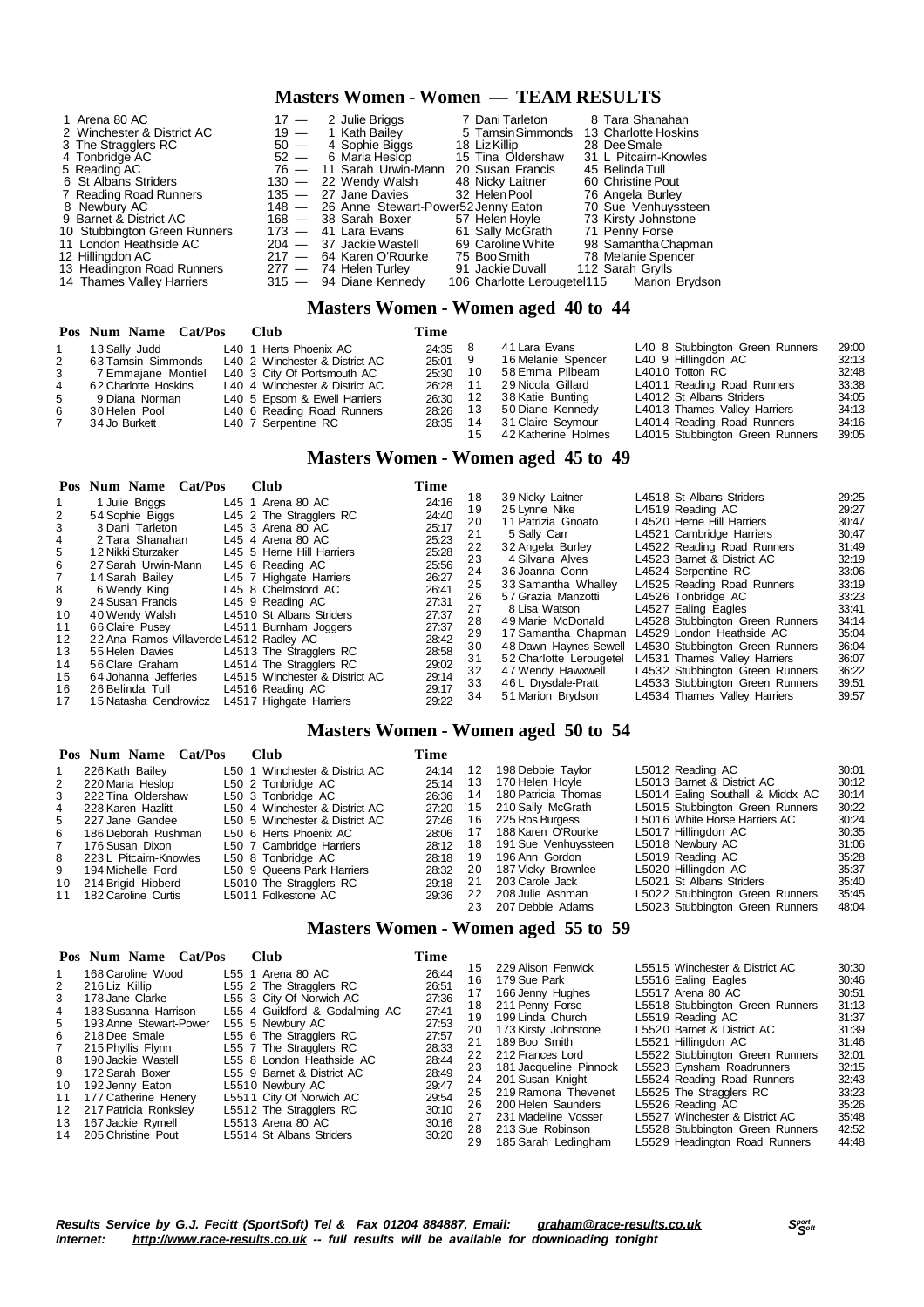# **Masters Women - Women — TEAM RESULTS**

| 1 Arena 80 AC                |        | $17 - 2$ Julie Briggs                     | 7 Dani Tarleton   | 8 Tara Shanahan                            |
|------------------------------|--------|-------------------------------------------|-------------------|--------------------------------------------|
| 2 Winchester & District AC   |        | 19 - 1 Kath Bailey                        | 5 Tamsin Simmonds | 13 Charlotte Hoskins                       |
| 3 The Stragglers RC          | $50 -$ | 4 Sophie Biggs                            | 18 Liz Killip     | 28 Dee Smale                               |
| 4 Tonbridge AC               |        | $52 - 6$ Maria Heslop                     | 15 Tina Oldershaw | 31 L Pitcairn-Knowles                      |
| 5 Reading AC                 |        | 76 - 11 Sarah Urwin-Mann                  | 20 Susan Francis  | 45 Belinda Tull                            |
| 6 St Albans Striders         |        | 130 - 22 Wendy Walsh                      | 48 Nicky Laitner  | 60 Christine Pout                          |
| 7 Reading Road Runners       |        | $135 - 27$ Jane Davies                    | 32 Helen Pool     | 76 Angela Burley                           |
| 8 Newbury AC                 |        | 148 - 26 Anne Stewart-Power52 Jenny Eaton |                   | 70 Sue Venhuyssteen                        |
| 9 Barnet & District AC       |        | 168 - 38 Sarah Boxer                      | 57 Helen Hoyle    | 73 Kirsty Johnstone                        |
| 10 Stubbington Green Runners |        | $173 - 41$ Lara Evans                     | 61 Sally McGrath  | 71 Penny Forse                             |
| 11 London Heathside AC       |        | $204 - 37$ Jackie Wastell                 | 69 Caroline White | 98 Samantha Chapman                        |
| 12 Hillingdon AC             |        | 217 - 64 Karen O'Rourke                   | 75 Boo Smith      | 78 Melanie Spencer                         |
| 13 Headington Road Runners   |        | $277 - 74$ Helen Turley                   | 91 Jackie Duvall  | 112 Sarah Grylls                           |
| 14 Thames Valley Harriers    |        | 315 - 94 Diane Kennedy                    |                   | 106 Charlotte Lerougetel115 Marion Brydson |

## **Masters Women - Women aged 40 to 44**

|   | Pos Num Name Cat/Pos Club |                                | Time     |     |                     |                                 |       |
|---|---------------------------|--------------------------------|----------|-----|---------------------|---------------------------------|-------|
|   | 13 Sally Judd             | L40 1 Herts Phoenix AC         | 24:35 8  |     | 41 Lara Evans       | L40 8 Stubbington Green Runners | 29:00 |
| 2 | 63 Tamsin Simmonds        | L40 2 Winchester & District AC | 25:01 9  |     | 16 Melanie Spencer  | L40 9 Hillingdon AC             | 32:13 |
| 3 | 7 Emmajane Montiel        | L40 3 City Of Portsmouth AC    | 25:30 10 |     | 58 Emma Pilbeam     | L4010 Totton RC                 | 32:48 |
| 4 | 62 Charlotte Hoskins      | L40 4 Winchester & District AC | 26:28 11 |     | 29 Nicola Gillard   | L4011 Reading Road Runners      | 33:38 |
| 5 | 9 Diana Norman            | L40 5 Epsom & Ewell Harriers   | 26:30    | -12 | 38 Katie Bunting    | L4012 St Albans Striders        | 34:05 |
| 6 | 30 Helen Pool             | L40 6 Reading Road Runners     | 28:26    | -13 | 50 Diane Kennedy    | L4013 Thames Valley Harriers    | 34:13 |
|   | 34 Jo Burkett             | L40 7 Serpentine RC            | 28:35 14 |     | 31 Claire Seymour   | L4014 Reading Road Runners      | 34:16 |
|   |                           |                                |          | 15  | 42 Katherine Holmes | L4015 Stubbington Green Runners | 39:05 |

# **Masters Women - Women aged 45 to 49**

|                                                            | Pos Num Name Cat/Pos                                                                                                                                                                                             | <b>Club</b>                                                                                         |                                                                                                                                                             | Time                                                                                            |                                                                |                                                                                                                                                                                                                     |                                                                                                                                                                                                                                                                                                        |                                                                                                 |
|------------------------------------------------------------|------------------------------------------------------------------------------------------------------------------------------------------------------------------------------------------------------------------|-----------------------------------------------------------------------------------------------------|-------------------------------------------------------------------------------------------------------------------------------------------------------------|-------------------------------------------------------------------------------------------------|----------------------------------------------------------------|---------------------------------------------------------------------------------------------------------------------------------------------------------------------------------------------------------------------|--------------------------------------------------------------------------------------------------------------------------------------------------------------------------------------------------------------------------------------------------------------------------------------------------------|-------------------------------------------------------------------------------------------------|
| 2<br>3<br>4<br>5<br>6<br>$7^{\circ}$<br>8<br>9<br>10<br>11 | 1 Julie Briggs<br>54 Sophie Biggs<br>3 Dani Tarleton<br>2 Tara Shanahan<br>12 Nikki Sturzaker<br>27 Sarah Urwin-Mann<br>14 Sarah Bailey<br>6 Wendy King<br>24 Susan Francis<br>40 Wendy Walsh<br>66 Claire Pusev | L45 1 Arena 80 AC<br>L45 3 Arena 80 AC<br>L45 4 Arena 80 AC<br>L45 6 Reading AC<br>L45 9 Reading AC | L45 2 The Stragglers RC<br>L45 5 Herne Hill Harriers<br>L45 7 Highgate Harriers<br>L45 8 Chelmsford AC<br>L4510 St Albans Striders<br>L4511 Burnham Joggers | 24:16<br>24:40<br>25:17<br>25:23<br>25:28<br>25:56<br>26:27<br>26:41<br>27:31<br>27:37<br>27:37 | 18<br>19<br>20<br>21<br>22<br>23<br>24<br>25<br>26<br>27<br>28 | 39 Nicky Laitner<br>25 Lynne Nike<br>11 Patrizia Gnoato<br>5 Sally Carr<br>32 Angela Burley<br>4 Silvana Alves<br>36 Joanna Conn<br>33 Samantha Whalley<br>57 Grazia Manzotti<br>8 Lisa Watson<br>49 Marie McDonald | L4518 St Albans Striders<br>L4519 Reading AC<br>L4520 Herne Hill Harriers<br>L4521 Cambridge Harriers<br>L4522 Reading Road Runners<br>L4523 Barnet & District AC<br>L4524 Serpentine RC<br>L4525 Reading Road Runners<br>L4526 Tonbridge AC<br>L4527 Ealing Eagles<br>L4528 Stubbington Green Runners | 29:25<br>29:27<br>30:47<br>30:47<br>31:49<br>32:19<br>33:06<br>33:19<br>33:23<br>33:41<br>34:14 |
|                                                            |                                                                                                                                                                                                                  |                                                                                                     |                                                                                                                                                             |                                                                                                 |                                                                |                                                                                                                                                                                                                     |                                                                                                                                                                                                                                                                                                        |                                                                                                 |
| 12 <sup>1</sup>                                            | 22 Ana Ramos-Villaverde L4512 Radley AC                                                                                                                                                                          |                                                                                                     |                                                                                                                                                             | 28:42                                                                                           | 29                                                             | 17 Samantha Chapman                                                                                                                                                                                                 | L4529 London Heathside AC                                                                                                                                                                                                                                                                              | 35:04                                                                                           |
| 13<br>14<br>15<br>16<br>17                                 | 55 Helen Davies<br>56 Clare Graham<br>64 Johanna Jefferies<br>26 Belinda Tull<br>15 Natasha Cendrowicz                                                                                                           | L4516 Reading AC                                                                                    | L4513 The Stragglers RC<br>L4514 The Stragglers RC<br>L4515 Winchester & District AC<br>L4517 Highgate Harriers                                             | 28:58<br>29:02<br>29:14<br>29:17<br>29:22                                                       | 30<br>31<br>32<br>33<br>34                                     | 48 Dawn Haynes-Sewell<br>52 Charlotte Lerougetel<br>47 Wendy Hawxwell<br>46 L Drysdale-Pratt<br>51 Marion Brydson                                                                                                   | L4530 Stubbington Green Runners<br>L4531 Thames Valley Harriers<br>L4532 Stubbington Green Runners<br>L4533 Stubbington Green Runners<br>L4534 Thames Valley Harriers                                                                                                                                  | 36:04<br>36:07<br>36:22<br>39:51<br>39:57                                                       |

# **Masters Women - Women aged 50 to 54**

|    | Pos Num Name Cat/Pos   | Club                           | Time  |      |                      |                                  |       |
|----|------------------------|--------------------------------|-------|------|----------------------|----------------------------------|-------|
|    | 226 Kath Bailey        | L50 1 Winchester & District AC | 24:14 | 12   | 198 Debbie Taylor    | L5012 Reading AC                 | 30:01 |
| 2  | 220 Maria Heslop       | L50 2 Tonbridge AC             | 25:14 | 13   | 170 Helen Hoyle      | L5013 Barnet & District AC       | 30:12 |
| 3  | 222 Tina Oldershaw     | L50 3 Tonbridge AC             | 26:36 | 14   | 180 Patricia Thomas  | L5014 Ealing Southall & Middx AC | 30:14 |
| 4  | 228 Karen Hazlitt      | L50 4 Winchester & District AC | 27:20 | 15   | 210 Sally McGrath    | L5015 Stubbington Green Runners  | 30:22 |
| 5  | 227 Jane Gandee        | L50 5 Winchester & District AC | 27:46 | 16   | 225 Ros Burgess      | L5016 White Horse Harriers AC    | 30:24 |
| 6  | 186 Deborah Rushman    | L50 6 Herts Phoenix AC         | 28:06 |      | 188 Karen O'Rourke   | L5017 Hillingdon AC              | 30:35 |
| 7  | 176 Susan Dixon        | L50 7 Cambridge Harriers       | 28:12 | - 18 | 191 Sue Venhuyssteen | L5018 Newbury AC                 | 31:06 |
| 8  | 223 L Pitcairn-Knowles | L50 8 Tonbridge AC             | 28:18 | 19   | 196 Ann Gordon       | L5019 Reading AC                 | 35:28 |
| 9  | 194 Michelle Ford      | L50 9 Queens Park Harriers     | 28:32 | -20  | 187 Vicky Brownlee   | L5020 Hillingdon AC              | 35:37 |
| 10 | 214 Brigid Hibberd     | L5010 The Stragglers RC        | 29:18 | 21   | 203 Carole Jack      | L5021 St Albans Striders         | 35:40 |
| 11 | 182 Caroline Curtis    | L5011 Folkestone AC            | 29:36 | 22   | 208 Julie Ashman     | L5022 Stubbington Green Runners  | 35:45 |
|    |                        |                                |       |      | 207 Debbie Adams     | L5023 Stubbinaton Green Runners  | 48:04 |

## **Masters Women - Women aged 55 to 59**

|                                 | Pos Num Name Cat/Pos                                                                                                                                                 | Club                                                                                                                                                                                                              | Time                                                                 |                                         |                                                                                                                                                               |                                                                                                                                                                                                                           |                                                                      |
|---------------------------------|----------------------------------------------------------------------------------------------------------------------------------------------------------------------|-------------------------------------------------------------------------------------------------------------------------------------------------------------------------------------------------------------------|----------------------------------------------------------------------|-----------------------------------------|---------------------------------------------------------------------------------------------------------------------------------------------------------------|---------------------------------------------------------------------------------------------------------------------------------------------------------------------------------------------------------------------------|----------------------------------------------------------------------|
| 2<br>3<br>4<br>5<br>6<br>8      | 168 Caroline Wood<br>216 Liz Killip<br>178 Jane Clarke<br>183 Susanna Harrison<br>193 Anne Stewart-Power<br>218 Dee Smale<br>215 Phyllis Flynn<br>190 Jackie Wastell | L55 1 Arena 80 AC<br>L55 2 The Stragglers RC<br>L55 3 City Of Norwich AC<br>L55 4 Guildford & Godalming AC<br>L55 5 Newbury AC<br>L55 6 The Stragglers RC<br>L55 7 The Stragglers RC<br>L55 8 London Heathside AC | 26:44<br>26:51<br>27:36<br>27:41<br>27:53<br>27:57<br>28:33<br>28:44 | 15<br>16<br>17<br>18<br>19<br>21<br>22  | 229 Alison Fenwick<br>179 Sue Park<br>166 Jenny Hughes<br>211 Penny Forse<br>199 Linda Church<br>20 173 Kirsty Johnstone<br>189 Boo Smith<br>212 Frances Lord | L5515 Winchester & District AC<br>L5516 Ealing Eagles<br>L5517 Arena 80 AC<br>L5518 Stubbington Green Runners<br>L5519 Reading AC<br>L5520 Barnet & District AC<br>L5521 Hillingdon AC<br>L5522 Stubbington Green Runners | 30:30<br>30:46<br>30:51<br>31:13<br>31:37<br>31:39<br>31:46<br>32:01 |
| 9<br>10<br>11<br>12<br>13<br>14 | 172 Sarah Boxer<br>192 Jenny Eaton<br>177 Catherine Henery<br>217 Patricia Ronksley<br>167 Jackie Rymell<br>205 Christine Pout                                       | L55 9 Barnet & District AC<br>L5510 Newbury AC<br>L5511 City Of Norwich AC<br>L5512 The Stragglers RC<br>L5513 Arena 80 AC<br>L5514 St Albans Striders                                                            | 28:49<br>29:47<br>29:54<br>30:10<br>30:16<br>30:20                   | 23.<br>24<br>25<br>26<br>27<br>28<br>29 | 181 Jacqueline Pinnock<br>201 Susan Knight<br>219 Ramona Thevenet<br>200 Helen Saunders<br>231 Madeline Vosser<br>213 Sue Robinson<br>185 Sarah Ledingham     | L5523 Eynsham Roadrunners<br>L5524 Reading Road Runners<br>L5525 The Stragglers RC<br>L5526 Reading AC<br>L5527 Winchester & District AC<br>L5528 Stubbington Green Runners<br>L5529 Headington Road Runners              | 32:15<br>32:43<br>33:23<br>35:26<br>35:48<br>42:52<br>44:48          |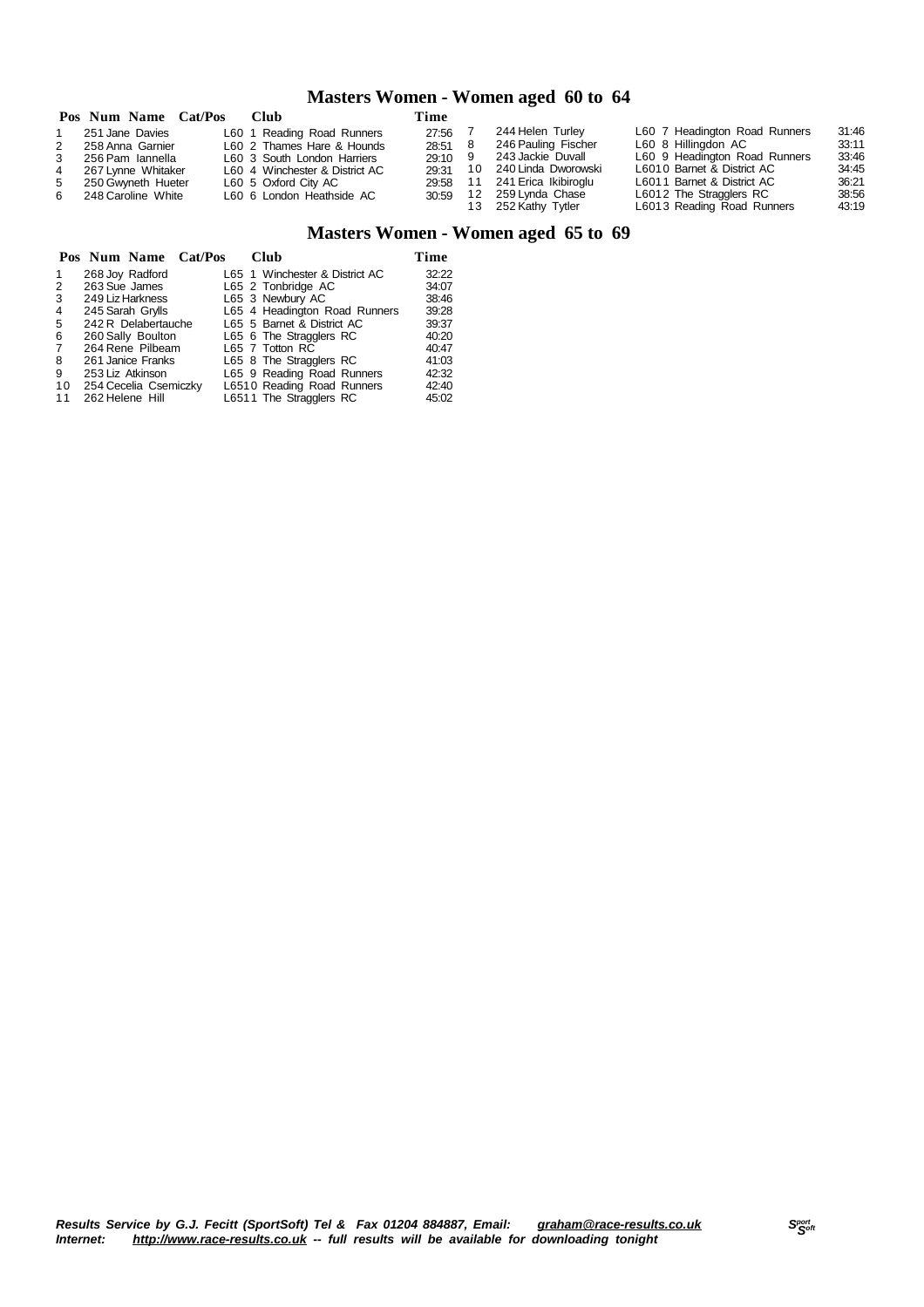# **Masters Women - Women aged 60 to 64**

|                | Pos Num Name Cat/Pos | Club                           | Time      |      |                      |                               |       |
|----------------|----------------------|--------------------------------|-----------|------|----------------------|-------------------------------|-------|
|                | 251 Jane Davies      | L60 1 Reading Road Runners     | 27:56     |      | 244 Helen Turley     | L60 7 Headington Road Runners | 31:46 |
| 2              | 258 Anna Garnier     | L60 2 Thames Hare & Hounds     | 28:51 8   |      | 246 Pauling Fischer  | L60 8 Hillingdon AC           | 33:11 |
| 3              | 256 Pam Iannella     | L60 3 South London Harriers    | $29:10$ 9 |      | 243 Jackie Duvall    | L60 9 Headington Road Runners | 33:46 |
| $\overline{4}$ | 267 Lynne Whitaker   | L60 4 Winchester & District AC | 29:31     | 10   | 240 Linda Dworowski  | L6010 Barnet & District AC    | 34:45 |
| 5              | 250 Gwyneth Hueter   | L60 5 Oxford City AC           | 29:58     | 11   | 241 Erica Ikibiroglu | L6011 Barnet & District AC    | 36:21 |
|                | 6 248 Caroline White | L60 6 London Heathside AC      | 30:59     | - 12 | 259 Lynda Chase      | L6012 The Stragglers RC       | 38:56 |
|                |                      |                                |           |      | 252 Kathy Tytler     | L6013 Reading Road Runners    | 43:19 |

# **Masters Women - Women aged 65 to 69**

|                |                 |                       | Pos Num Name Cat/Pos | Club                           | Time  |
|----------------|-----------------|-----------------------|----------------------|--------------------------------|-------|
| 1              |                 | 268 Joy Radford       |                      | L65 1 Winchester & District AC | 32:22 |
| 2              | 263 Sue James   |                       |                      | L65 2 Tonbridge AC             | 34:07 |
| 3              |                 | 249 Liz Harkness      |                      | L65 3 Newbury AC               | 38:46 |
| 4              |                 | 245 Sarah Grylls      |                      | L65 4 Headington Road Runners  | 39:28 |
| 5              |                 | 242 R Delabertauche   |                      | L65 5 Barnet & District AC     | 39:37 |
| 6              |                 | 260 Sally Boulton     |                      | L65 6 The Stragglers RC        | 40:20 |
| $\overline{7}$ |                 | 264 Rene Pilbeam      |                      | L65 7 Totton RC                | 40:47 |
| 8              |                 | 261 Janice Franks     |                      | L65 8 The Stragglers RC        | 41:03 |
| 9              |                 | 253 Liz Atkinson      |                      | L65 9 Reading Road Runners     | 42:32 |
| 10             |                 | 254 Cecelia Csemiczky |                      | L6510 Reading Road Runners     | 42:40 |
| 11             | 262 Helene Hill |                       |                      | L6511 The Stragglers RC        | 45:02 |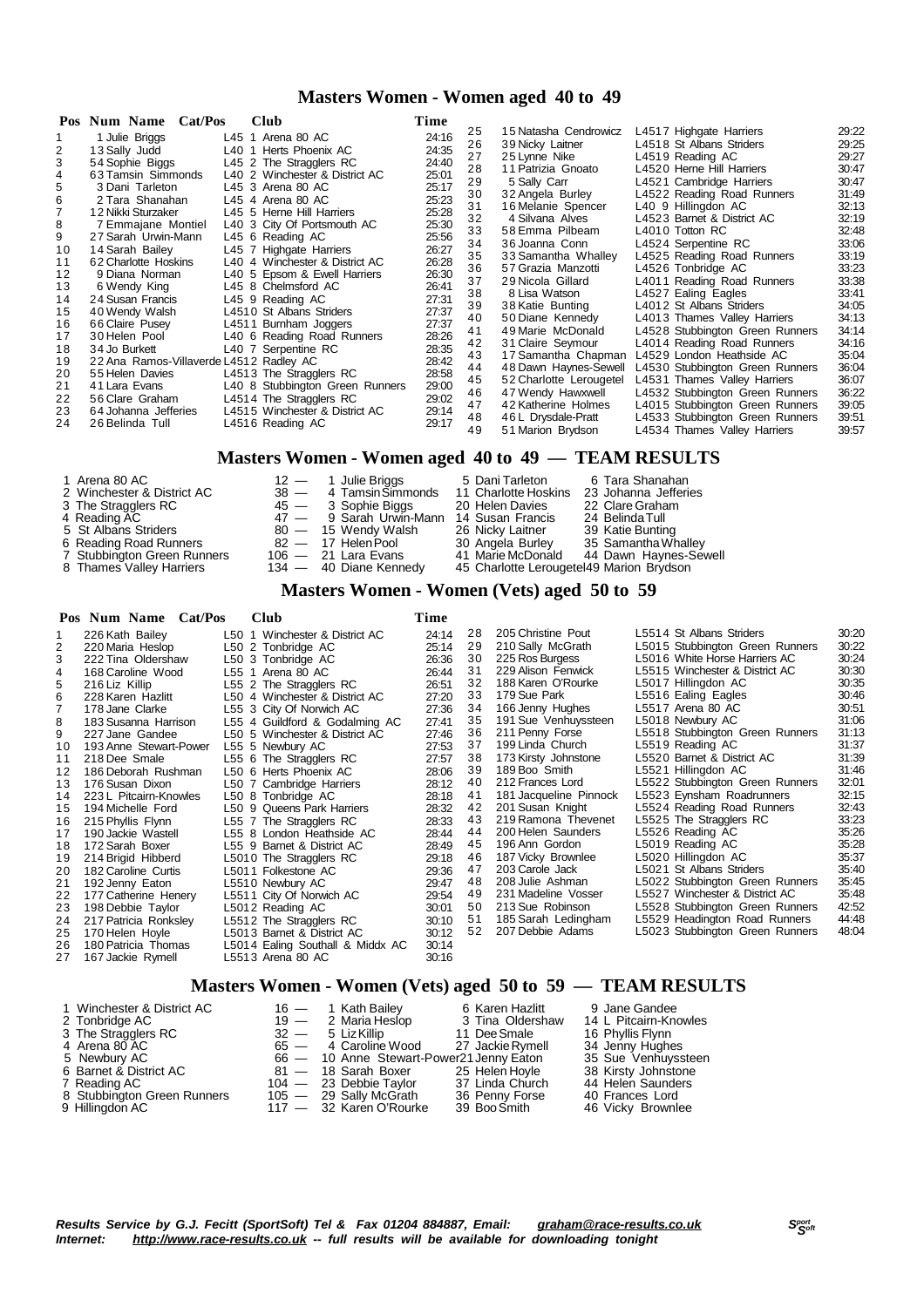# **Masters Women - Women aged 40 to 49**

|    | Pos Num Name Cat/Pos                    | Club                            | Time              |                                           |                                                  |                |
|----|-----------------------------------------|---------------------------------|-------------------|-------------------------------------------|--------------------------------------------------|----------------|
|    | 1 Julie Briggs                          | L45 1 Arena 80 AC               | 25<br>24:16       | 15 Natasha Cendrowicz                     | L4517 Highgate Harriers                          | 29:22          |
|    | 13 Sally Judd                           | L40 1 Herts Phoenix AC          | 26<br>24:35       | 39 Nicky Laitner                          | L4518 St Albans Striders                         | 29:25          |
| 3  | 54 Sophie Biggs                         | L45 2 The Stragglers RC         | 27<br>24:40       | 25 Lynne Nike                             | L4519 Reading AC                                 | 29:27          |
| 4  | 63 Tamsin Simmonds                      | L40 2 Winchester & District AC  | 28<br>25:01       | 11 Patrizia Gnoato                        | L4520 Herne Hill Harriers                        | 30:47          |
| 5  | 3 Dani Tarleton                         | L45 3 Arena 80 AC               | 29<br>25:17       | 5 Sally Carr                              | L4521 Cambridge Harriers                         | 30:47          |
| 6  | 2 Tara Shanahan                         | L45 4 Arena 80 AC               | 30<br>25:23       | 32 Angela Burley                          | L4522 Reading Road Runners                       | 31:49          |
|    | 12 Nikki Sturzaker                      | L45 5 Herne Hill Harriers       | 31<br>25:28       | 16 Melanie Spencer                        | L40 9 Hillingdon AC                              | 32:13          |
| 8  | 7 Emmajane Montiel                      | L40 3 City Of Portsmouth AC     | 32<br>25:30       | 4 Silvana Alves                           | L4523 Barnet & District AC                       | 32:19          |
| 9  | 27 Sarah Urwin-Mann                     | L45 6 Reading AC                | 33<br>25:56       | 58 Emma Pilbeam                           | L4010 Totton RC                                  | 32:48          |
| 10 | 14 Sarah Bailey                         | L45 7 Highgate Harriers         | 34<br>26:27<br>35 | 36 Joanna Conn                            | L4524 Serpentine RC                              | 33:06          |
| 11 | 62 Charlotte Hoskins                    | L40 4 Winchester & District AC  | 26:28<br>36       | 33 Samantha Whalley<br>57 Grazia Manzotti | L4525 Reading Road Runners<br>L4526 Tonbridge AC | 33:19<br>33:23 |
| 12 | 9 Diana Norman                          | L40 5 Epsom & Ewell Harriers    | 26:30<br>37       | 29 Nicola Gillard                         | L4011 Reading Road Runners                       | 33:38          |
| 13 | 6 Wendy King                            | L45 8 Chelmsford AC             | 26:41<br>38       | 8 Lisa Watson                             | L4527 Ealing Eagles                              | 33:41          |
| 14 | 24 Susan Francis                        | L45 9 Reading AC                | 27:31<br>39       | 38 Katie Bunting                          | L4012 St Albans Striders                         | 34:05          |
| 15 | 40 Wendy Walsh                          | L4510 St Albans Striders        | 27:37<br>40       | 50 Diane Kennedy                          | L4013 Thames Valley Harriers                     | 34:13          |
| 16 | 66 Claire Pusey                         | L4511 Burnham Joggers           | 27:37<br>41       | 49 Marie McDonald                         | L4528 Stubbington Green Runners                  | 34:14          |
| 17 | 30 Helen Pool                           | L40 6 Reading Road Runners      | 28:26<br>42       | 31 Claire Seymour                         | L4014 Reading Road Runners                       | 34:16          |
| 18 | 34 Jo Burkett                           | L40 7 Serpentine RC             | 28:35<br>43       | 17 Samantha Chapman                       | L4529 London Heathside AC                        | 35:04          |
| 19 | 22 Ana Ramos-Villaverde L4512 Radley AC |                                 | 28:42<br>44       | 48 Dawn Haynes-Sewell                     | L4530 Stubbington Green Runners                  | 36:04          |
| 20 | 55 Helen Davies                         | L4513 The Stragglers RC         | 28:58<br>45       | 52 Charlotte Lerougetel                   | L4531 Thames Valley Harriers                     | 36:07          |
| 21 | 41 Lara Evans                           | L40 8 Stubbington Green Runners | 29:00<br>46       | 47 Wendy Hawxwell                         | L4532 Stubbington Green Runners                  | 36:22          |
| 22 | 56 Clare Graham                         | L4514 The Stragglers RC         | 29:02<br>47       | 42 Katherine Holmes                       | L4015 Stubbington Green Runners                  | 39:05          |
| 23 | 64 Johanna Jefferies                    | L4515 Winchester & District AC  | 29:14<br>48       | 46 L Drysdale-Pratt                       | L4533 Stubbington Green Runners                  | 39:51          |
| 24 | 26 Belinda Tull                         | L4516 Reading AC                | 29:17<br>49       | 51 Marion Brydson                         | L4534 Thames Valley Harriers                     | 39:57          |

## **Masters Women - Women aged 40 to 49 — TEAM RESULTS**

| 1 Arena 80 AC<br>2 Winchester & District AC<br>3 The Stragglers RC | $12 -$                                     | Julie Briggs<br>38 - 4 Tamsin Simmonds 11 Charlotte Hoskins<br>45 — 3 Sophie Biggs | 5 Dani Tarleton<br>20 Helen Davies       | 6 Tara Shanahan<br>23 Johanna Jefferies<br>22 Clare Graham |  |  |  |  |  |
|--------------------------------------------------------------------|--------------------------------------------|------------------------------------------------------------------------------------|------------------------------------------|------------------------------------------------------------|--|--|--|--|--|
| 4 Reading AC                                                       |                                            | 47 — 9 Sarah Urwin-Mann 14 Susan Francis                                           |                                          | 24 Belinda Tull                                            |  |  |  |  |  |
| 5 St Albans Striders                                               |                                            | 80 — 15 Wendy Walsh                                                                | 26 Nicky Laitner                         | 39 Katie Bunting                                           |  |  |  |  |  |
| 6 Reading Road Runners                                             |                                            | 82 — 17 Helen Pool                                                                 | 30 Angela Burley                         | 35 Samantha Whalley                                        |  |  |  |  |  |
| 7 Stubbington Green Runners                                        |                                            | $106 - 21$ Lara Evans                                                              |                                          | 41 Marie McDonald 44 Dawn Haynes-Sewell                    |  |  |  |  |  |
| 8 Thames Valley Harriers                                           |                                            | 134 - 40 Diane Kennedy                                                             | 45 Charlotte Lerougetel49 Marion Brydson |                                                            |  |  |  |  |  |
|                                                                    | Masters Women - Women (Vets) aged 50 to 50 |                                                                                    |                                          |                                                            |  |  |  |  |  |

### **Masters Women - Women (Vets) aged 50 to 59**

### **Pos Num Name Cat/Pos Club Time** 1 226 Kath Bailey 1 260 1 Winchester & District AC 24:14<br>
220 Maria Heslop 1 250 2 Tonbridge AC 25:14<br>
222 Tina Oldershaw 1 260 3 Tonbridge AC 26:36 220 Maria Heslop L50 2 Tonbridge AC 25:14 222 Tina Oldershaw L50 3 Tonbridge AC 26:36 4 168 Caroline Wood L55 1 Arena 80 AC 26:44<br>5 216 Liz Killip L55 2 The Stragglers RC 26:51 216 Liz Killip L55 2 The Stragglers RC 26:51 228 Karen Hazlitt L50 4 Winchester & District AC 27:20 7 178 Jane Clarke L55 3 City Of Norwich AC 27:36<br>8 183 Susanna Harrison L55 4 Guildford & Godalming AC 27:41 L55 4 Guildford & Godalming AC 9 227 Jane Gandee L50 5 Winchester & District AC 27:46<br>10 193 Anne Stewart-Power L55 5 Newbury AC 27:53 193 Anne Stewart-Power L55 5 Newbury AC 27:53 218 Dee Smale L55 6 The Stragglers RC 27:57 186 Deborah Rushman L50 6 Herts Phoenix AC 28:06 13 176 Susan Dixon L50 7 Cambridge Harriers 28:12<br>14 223 L Pitcairn-Knowles L50 8 Tonbridge AC 28:18 14 223 L Pitcairn-Knowles L50 8 Tonbridge AC 28:18<br>15 194 Michelle Ford L50 9 Queens Park Harriers 28:32 194 Michelle Ford L50 9 Queens Park Harriers 28:32 215 Phyllis Flynn L55 7 The Stragglers RC<br>190 Jackie Wastell L55 8 London Heathside 190 Jackie Wastell L55 8 London Heathside AC 28:44 18 172 Sarah Boxer L55 9 Barnet & District AC 28:49<br>19 214 Brigid Hibberd L5010 The Stragglers RC 29:18 214 Brigid Hibberd L5010 The Stragglers RC 29:18 182 Caroline Curtis L5011 Folkestone AC 29:36 21 192 Jenny Eaton L5510 Newbury AC 29:47<br>22 177 Catherine Henery L5511 City Of Norwich AC 29:54 22 177 Catherine Henery L5511 City Of Norwich AC 29:54<br>23 198 Debbie Taylor L5012 Reading AC 30:01<br>24 217 Patricia Ronksley L5512 The Stragglers RC 30:10 198 Debbie Taylor L5012 Reading AC 30:01 24 217 Patricia Ronksley L5512 The Stragglers RC 30:10 25 170 Helen Hoyle L5013 Barnet & District AC 30:12<br>26 180 Patricia Thomas L5014 Ealing Southall & Middx AC 30:14 180 Patricia Thomas L5014 Ealing Southall & Middx AC 30:14 L5513 Arena 80 AC 205 Christine Pout L5514 St Albans Striders 30:20 29 210 Sally McGrath L5015 Stubbington Green Runners 30:22 225 Ros Burgess L5016 White Horse Harriers AC 30:24 229 Alison Fenwick L5515 Winchester & District AC 30:30 188 Karen O'Rourke L5017 Hillingdon AC 30:35 179 Sue Park L5516 Ealing Eagles<br>166 Jenny Hughes L5517 Arena 80 AC<br>191 Sue Venhuyssteen L5018 Newbury AC 166 Jenny Hughes L5517 Arena 80 AC 30:51 35 191 Sue Venhuyssteen L5018 Newbury AC 31:06 211 Penny Forse L5518 Stubbington Green Runners 31:13 38 211 Penny Forse L5518 Stubbington Green Runners 31:13<br>37 199 Linda Church L5519 Reading AC 31:37<br>38 173 Kirsty Johnstone L5520 Barnet & District AC 31:39<br>39 189 Boo Smith L5521 Hillingdon AC 31:46 173 Kirsty Johnstone L5520 Barnet & District AC 31:39 L5521 Hillingdon AC 40 212 Frances Lord L5522 Stubbington Green Runners 32:01<br>41 181 Jacqueline Pinnock L5523 Eynsham Roadrunners 32:15<br>42 201 Susan Knight L5524 Reading Road Runners 32:43 41 181 Jacqueline Pinnock L5523 Eynsham Roadrunners 32:15 201 Susan Knight L5524 Reading Road Runners 32:43 219 Ramona Thevenet L5525 The Stragglers RC 33:23 44 200 Helen Saunders L5526 Reading AC 35:26<br>45 196 Ann Gordon L5019 Reading AC 35:28 196 Ann Gordon L5019 Reading AC 35:28 L5020 Hillingdon AC 47 203 Carole Jack L5021 St Albans Striders 35:40 208 Julie Ashman L5022 Stubbington Green Runners 35:45 49 231 Madeline Vosser L5527 Winchester & District AC 35:48<br>49 231 Madeline Vosser L5527 Winchester & District AC 35:48<br>50 213 Sue Robinson L5528 Stubbington Green Runners 42:52 213 Sue Robinson L5528 Stubbington Green Runners 42:52 185 Sarah Ledingham L5529 Headington Road Runners 44:48 L5023 Stubbington Green Runners

# **Masters Women - Women (Vets) aged 50 to 59 — TEAM RESULTS**

| 1 Winchester & District AC  | 16 - 1 Kath Bailev                       | 6 Karen Hazlitt  | 9 Jane Gandee         |
|-----------------------------|------------------------------------------|------------------|-----------------------|
| 2 Tonbridge AC              | $19 - 2$ Maria Heslop                    | 3 Tina Oldershaw | 14 L Pitcairn-Knowles |
| 3 The Stragglers RC         | 32 — 5 Liz Killip                        | 11 Dee Smale     | 16 Phyllis Flynn      |
| 4 Arena 80 AC               | 65 - 4 Caroline Wood                     | 27 Jackie Rymell | 34 Jenny Hughes       |
| 5 Newbury AC                | 66 - 10 Anne Stewart-Power21 Jenny Eaton |                  | 35 Sue Venhuyssteen   |
| 6 Barnet & District AC      | 81 — 18 Sarah Boxer                      | 25 Helen Hoyle   | 38 Kirsty Johnstone   |
| 7 Reading AC                | $104 - 23$ Debbie Taylor                 | 37 Linda Church  | 44 Helen Saunders     |
| 8 Stubbington Green Runners | 105 - 29 Sally McGrath                   | 36 Penny Forse   | 40 Frances Lord       |
| 9 Hillingdon AC             | 117 - 32 Karen O'Rourke                  | 39 Boo Smith     | 46 Vicky Brownlee     |
|                             |                                          |                  |                       |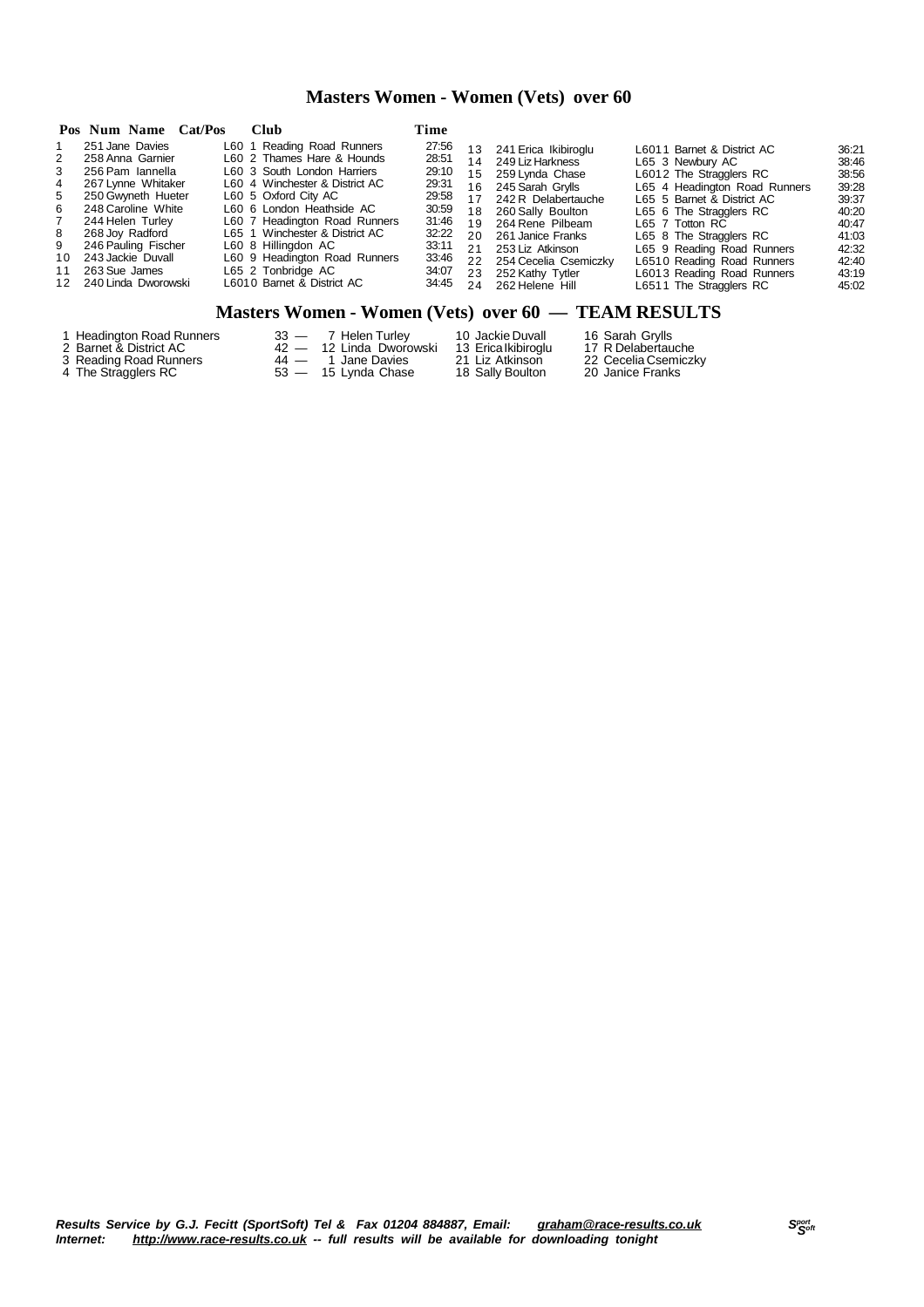# **Masters Women - Women (Vets) over 60**

|                                                                         | Pos Num Name Cat/Pos                                                                                                                                                                                                                                    | <b>Club</b>                                                                                                                                                                                                                                                                                                                                                   | Time                                                                                                     |                                                                                   |                                                                                                                                                                                                                                                          |                                                                                                                                                                                                                                                                                                                                        |                                                                                                          |
|-------------------------------------------------------------------------|---------------------------------------------------------------------------------------------------------------------------------------------------------------------------------------------------------------------------------------------------------|---------------------------------------------------------------------------------------------------------------------------------------------------------------------------------------------------------------------------------------------------------------------------------------------------------------------------------------------------------------|----------------------------------------------------------------------------------------------------------|-----------------------------------------------------------------------------------|----------------------------------------------------------------------------------------------------------------------------------------------------------------------------------------------------------------------------------------------------------|----------------------------------------------------------------------------------------------------------------------------------------------------------------------------------------------------------------------------------------------------------------------------------------------------------------------------------------|----------------------------------------------------------------------------------------------------------|
| 2<br>3<br>$\overline{4}$<br>5<br>6<br>$7^{\circ}$<br>8<br>9<br>10<br>11 | 251 Jane Davies<br>258 Anna Garnier<br>256 Pam Iannella<br>267 Lynne Whitaker<br>250 Gwyneth Hueter<br>248 Caroline White<br>244 Helen Turley<br>268 Joy Radford<br>246 Pauling Fischer<br>243 Jackie Duvall<br>263 Sue James<br>12 240 Linda Dworowski | L60 1 Reading Road Runners<br>L60 2 Thames Hare & Hounds<br>L60 3 South London Harriers<br>L60 4 Winchester & District AC<br>L60 5 Oxford City AC<br>L60 6 London Heathside AC<br>L60 7 Headington Road Runners<br>L65 1 Winchester & District AC<br>L60 8 Hillingdon AC<br>L60 9 Headington Road Runners<br>L65 2 Tonbridge AC<br>L6010 Barnet & District AC | 27:56<br>28:51<br>29:10<br>29:31<br>29:58<br>30:59<br>31:46<br>32:22<br>33:11<br>33:46<br>34:07<br>34:45 | 13<br>14<br>15 <sup>1</sup><br>16<br>17<br>18<br>19<br>20<br>21<br>22<br>23<br>24 | 241 Erica Ikibiroglu<br>249 Liz Harkness<br>259 Lynda Chase<br>245 Sarah Grvlls<br>242 R Delabertauche<br>260 Sally Boulton<br>264 Rene Pilbeam<br>261 Janice Franks<br>253 Liz Atkinson<br>254 Cecelia Csemiczky<br>252 Kathy Tytler<br>262 Helene Hill | L6011 Barnet & District AC<br>L65 3 Newbury AC<br>L6012 The Stragglers RC<br>L65 4 Headington Road Runners<br>L65 5 Barnet & District AC<br>L65 6 The Stragglers RC<br>L65 7 Totton RC<br>L65 8 The Stragglers RC<br>L65 9 Reading Road Runners<br>L6510 Reading Road Runners<br>L6013 Reading Road Runners<br>L6511 The Stragglers RC | 36:21<br>38:46<br>38:56<br>39:28<br>39:37<br>40:20<br>40:47<br>41:03<br>42:32<br>42:40<br>43:19<br>45:02 |

# **Masters Women - Women (Vets) over 60 — TEAM RESULTS**

| 1 Headington Road Runners | 33 — 7 Helen Turley     | 10 Jackie Duvall    | 16 Sarah Grylls      |
|---------------------------|-------------------------|---------------------|----------------------|
| 2 Barnet & District AC    | 42 — 12 Linda Dworowski | 13 Erica Ikibiroglu | 17 R Delabertauche   |
| 3 Reading Road Runners    | 44 — 1 Jane Davies      | 21 Liz Atkinson     | 22 Cecelia Csemiczky |
| 4 The Stragglers RC       | 53 — 15 Lynda Chase     | 18 Sally Boulton    | 20 Janice Franks     |

Results Service by G.J. Fecitt (SportSoft) Tel & Fax 01204 884887, Email: <u>[graham@race-results.co.uk](mailto:graham@race-results.co.uk)</u> S<sup>oon</sup><br>Internet: <u><http://www.race-results.co.uk></u> -- full results will be available for downloading tonight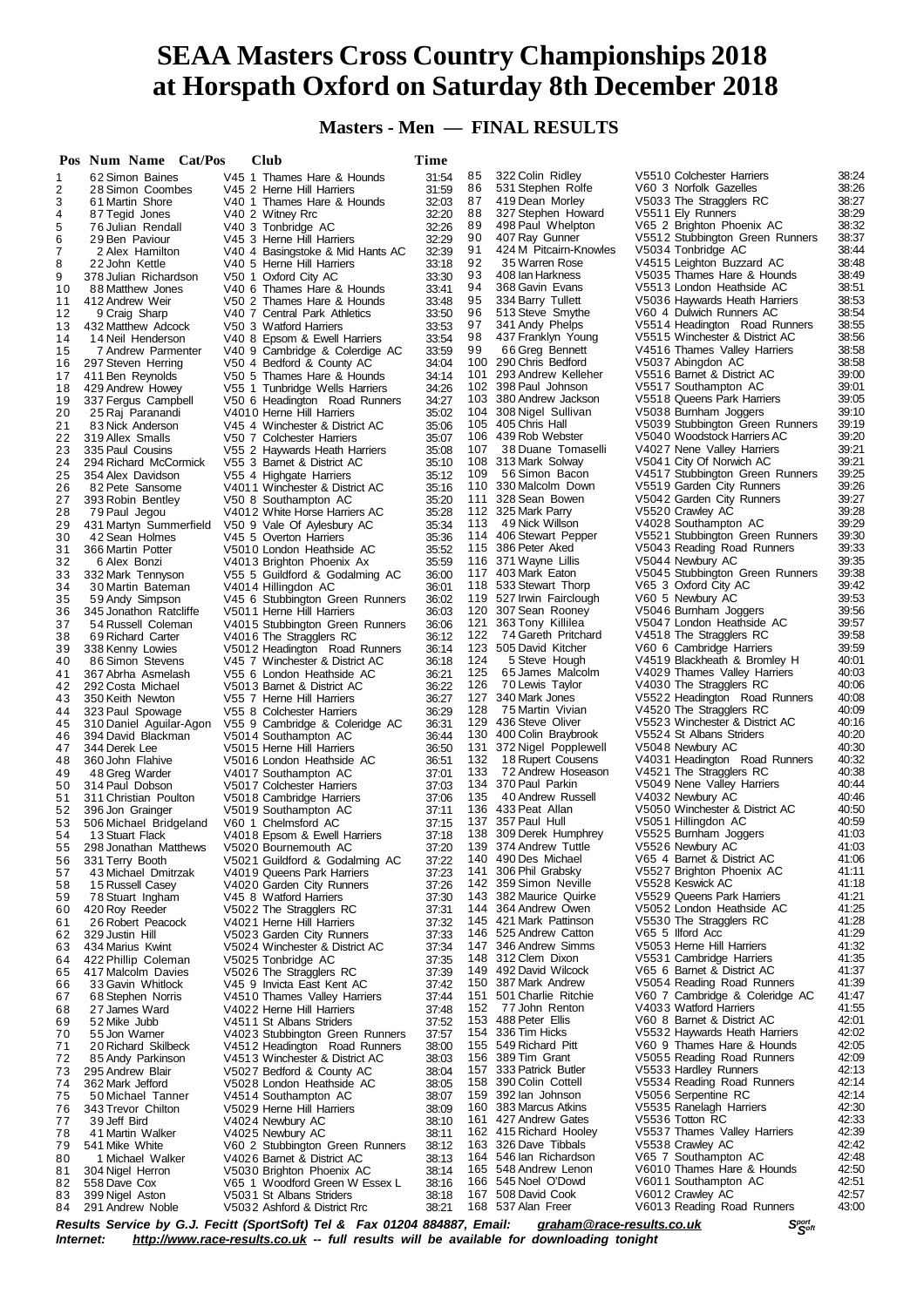# **SEAA Masters Cross Country Championships 2018 at Horspath Oxford on Saturday 8th December 2018**

**Masters - Men — FINAL RESULTS**

|          | Pos Num Name Cat/Pos                     | <b>Club</b>                                                     | Time           |            |                                                 |                                                              |                |
|----------|------------------------------------------|-----------------------------------------------------------------|----------------|------------|-------------------------------------------------|--------------------------------------------------------------|----------------|
| 1        | 62 Simon Baines                          | V45 1 Thames Hare & Hounds                                      | 31:54          | 85         | 322 Colin Ridley                                | V5510 Colchester Harriers                                    | 38:24          |
| 2        | 28 Simon Coombes                         | V45 2 Herne Hill Harriers                                       | 31:59          | 86         | 531 Stephen Rolfe                               | V60 3 Norfolk Gazelles                                       | 38:26          |
| 3        | 61 Martin Shore                          | V40 1 Thames Hare & Hounds                                      | 32:03          | 87         | 419 Dean Morley                                 | V5033 The Stragglers RC                                      | 38:27          |
| 4        | 87 Tegid Jones                           | V40 2 Witney Rrc                                                | 32:20          | 88         | 327 Stephen Howard                              | V5511 Ely Runners                                            | 38:29          |
| 5        | 76 Julian Rendall                        | V40 3 Tonbridge AC                                              | 32:26<br>32:29 | 89<br>90   | 498 Paul Whelpton<br>407 Ray Gunner             | V65 2 Brighton Phoenix AC<br>V5512 Stubbington Green Runners | 38:32<br>38:37 |
| 6<br>7   | 29 Ben Paviour<br>2 Alex Hamilton        | V45 3 Herne Hill Harriers<br>V40 4 Basingstoke & Mid Hants AC   | 32:39          | 91         | 424 M Pitcairn-Knowles                          | V5034 Tonbridge AC                                           | 38:44          |
| 8        | 22 John Kettle                           | V40 5 Herne Hill Harriers                                       | 33:18          | 92         | 35 Warren Rose                                  | V4515 Leighton Buzzard AC                                    | 38:48          |
| 9        | 378 Julian Richardson                    | V50 1 Oxford City AC                                            | 33:30          | 93         | 408 Ian Harkness                                | V5035 Thames Hare & Hounds                                   | 38:49          |
| 10       | 88 Matthew Jones                         | V40 6 Thames Hare & Hounds                                      | 33:41          | 94         | 368 Gavin Evans                                 | V5513 London Heathside AC                                    | 38:51          |
| 11       | 412 Andrew Weir                          | V50 2 Thames Hare & Hounds                                      | 33:48          | 95         | 334 Barry Tullett                               | V5036 Haywards Heath Harriers                                | 38:53          |
| 12       | 9 Craig Sharp                            | V40 7 Central Park Athletics                                    | 33:50          | 96         | 513 Steve Smythe                                | V60 4 Dulwich Runners AC                                     | 38:54          |
| 13       | 432 Matthew Adcock                       | V50 3 Watford Harriers                                          | 33:53          | 97         | 341 Andy Phelps                                 | V5514 Headington Road Runners                                | 38:55          |
| 14       | 14 Neil Henderson                        | V40 8 Epsom & Ewell Harriers                                    | 33:54          | 98         | 437 Franklyn Young                              | V5515 Winchester & District AC                               | 38:56          |
| 15       | 7 Andrew Parmenter                       | V40 9 Cambridge & Colerdige AC                                  | 33:59          | 99         | 66 Greg Bennett<br>100 290 Chris Bedford        | V4516 Thames Valley Harriers<br>V5037 Abingdon AC            | 38:58<br>38:58 |
| 16<br>17 | 297 Steven Herring                       | V50 4 Bedford & County AC<br>V50 5 Thames Hare & Hounds         | 34:04<br>34:14 |            | 101 293 Andrew Kelleher                         | V5516 Barnet & District AC                                   | 39:00          |
| 18       | 411 Ben Reynolds<br>429 Andrew Howey     | V55 1 Tunbridge Wells Harriers                                  | 34:26          |            | 102 398 Paul Johnson                            | V5517 Southampton AC                                         | 39:01          |
| 19       | 337 Fergus Campbell                      | V50 6 Headington Road Runners                                   | 34:27          |            | 103 380 Andrew Jackson                          | V5518 Queens Park Harriers                                   | 39:05          |
| 20       | 25 Raj Paranandi                         | V4010 Herne Hill Harriers                                       | 35:02          |            | 104 308 Nigel Sullivan                          | V5038 Burnham Joggers                                        | 39:10          |
| 21       | 83 Nick Anderson                         | V45 4 Winchester & District AC                                  | 35:06          |            | 105 405 Chris Hall                              | V5039 Stubbington Green Runners                              | 39:19          |
| 22       | 319 Allex Smalls                         | V50 7 Colchester Harriers                                       | 35:07          |            | 106 439 Rob Webster                             | V5040 Woodstock Harriers AC                                  | 39:20          |
| 23       | 335 Paul Cousins                         | V55 2 Haywards Heath Harriers                                   | 35:08          | 107        | 38 Duane Tomaselli                              | V4027 Nene Valley Harriers                                   | 39:21          |
| 24       | 294 Richard McCormick                    | V55 3 Barnet & District AC                                      | 35:10          |            | 108 313 Mark Solway                             | V5041 City Of Norwich AC                                     | 39:21          |
| 25       | 354 Alex Davidson                        | V55 4 Highgate Harriers                                         | 35:12          | 109        | 56 Simon Bacon<br>110 330 Malcolm Down          | V4517 Stubbington Green Runners                              | 39:25          |
| 26<br>27 | 82 Pete Sansome                          | V4011 Winchester & District AC                                  | 35:16<br>35:20 | 111        | 328 Sean Bowen                                  | V5519 Garden City Runners<br>V5042 Garden City Runners       | 39:26<br>39:27 |
| 28       | 393 Robin Bentley<br>79 Paul Jegou       | V50 8 Southampton AC<br>V4012 White Horse Harriers AC           | 35:28          |            | 112 325 Mark Parry                              | V5520 Crawley AC                                             | 39:28          |
| 29       | 431 Martyn Summerfield                   | V50 9 Vale Of Aylesbury AC                                      | 35:34          | 113        | 49 Nick Willson                                 | V4028 Southampton AC                                         | 39:29          |
| 30       | 42 Sean Holmes                           | V45 5 Overton Harriers                                          | 35:36          |            | 114 406 Stewart Pepper                          | V5521 Stubbington Green Runners                              | 39:30          |
| 31       | 366 Martin Potter                        | V5010 London Heathside AC                                       | 35:52          |            | 115 386 Peter Aked                              | V5043 Reading Road Runners                                   | 39:33          |
| 32       | 6 Alex Bonzi                             | V4013 Brighton Phoenix Ax                                       | 35:59          |            | 116 371 Wayne Lillis                            | V5044 Newbury AC                                             | 39:35          |
| 33       | 332 Mark Tennyson                        | V55 5 Guildford & Godalming AC                                  | 36:00          |            | 117 403 Mark Eaton                              | V5045 Stubbington Green Runners                              | 39:38          |
| 34       | 30 Martin Bateman                        | V4014 Hillingdon AC                                             | 36:01          |            | 118 533 Stewart Thorp                           | V65 3 Oxford City AC                                         | 39:42          |
| 35       | 59 Andy Simpson                          | V45 6 Stubbington Green Runners                                 | 36:02          |            | 119 527 Irwin Fairclough                        | V60 5 Newbury AC                                             | 39:53          |
| 36       | 345 Jonathon Ratcliffe                   | V5011 Herne Hill Harriers                                       | 36:03          |            | 120 307 Sean Rooney                             | V5046 Burnham Joggers                                        | 39:56          |
| 37       | 54 Russell Coleman                       | V4015 Stubbington Green Runners                                 | 36:06          | 121<br>122 | 363 Tony Killilea<br>74 Gareth Pritchard        | V5047 London Heathside AC                                    | 39:57          |
| 38<br>39 | 69 Richard Carter<br>338 Kenny Lowies    | V4016 The Stragglers RC                                         | 36:12<br>36:14 |            | 123 505 David Kitcher                           | V4518 The Stragglers RC<br>V60 6 Cambridge Harriers          | 39:58<br>39:59 |
| 40       | 86 Simon Stevens                         | V5012 Headington Road Runners<br>V45 7 Winchester & District AC | 36:18          | 124        | 5 Steve Hough                                   | V4519 Blackheath & Bromley H                                 | 40:01          |
| 41       | 367 Abrha Asmelash                       | V55 6 London Heathside AC                                       | 36:21          | 125        | 65 James Malcolm                                | V4029 Thames Valley Harriers                                 | 40:03          |
| 42       | 292 Costa Michael                        | V5013 Barnet & District AC                                      | 36:22          | 126        | 70 Lewis Taylor                                 | V4030 The Stragglers RC                                      | 40:06          |
| 43       | 350 Keith Newton                         | V55 7 Herne Hill Harriers                                       | 36:27          |            | 127 340 Mark Jones                              | V5522 Headington Road Runners                                | 40:08          |
| 44       | 323 Paul Spowage                         | V55 8 Colchester Harriers                                       | 36:29          | 128        | 75 Martin Vivian                                | V4520 The Stragglers RC                                      | 40:09          |
| 45       | 310 Daniel Aguilar-Agon                  | V55 9 Cambridge & Coleridge AC                                  | 36:31          |            | 129 436 Steve Oliver                            | V5523 Winchester & District AC                               | 40:16          |
| 46       | 394 David Blackman                       | V5014 Southampton AC                                            | 36:44          |            | 130 400 Colin Braybrook                         | V5524 St Albans Striders                                     | 40:20          |
| 47       | 344 Derek Lee                            | V5015 Herne Hill Harriers                                       | 36:50          | 131        | 372 Nigel Popplewell                            | V5048 Newbury AC                                             | 40:30          |
| 48       | 360 John Flahive                         | V5016 London Heathside AC                                       | 36:51          | 132        | 18 Rupert Cousens                               | V4031 Headington Road Runners                                | 40:32          |
| 49       | 48 Greg Warder                           | V4017 Southampton AC                                            | 37:01          | 133        | 72 Andrew Hoseason<br>134 370 Paul Parkin       | V4521 The Stragglers RC<br>V5049 Nene Valley Harriers        | 40:38<br>40:44 |
| 50<br>51 | 314 Paul Dobson<br>311 Christian Poulton | V5017 Colchester Harriers                                       | 37:03          | 135        | 40 Andrew Russell                               | V4032 Newbury AC                                             | 40:46          |
| 52       | 396 Jon Grainger                         | V5018 Cambridge Harriers<br>V5019 Southampton AC                | 37:06<br>37:11 |            | 136 433 Peat Allan                              | V5050 Winchester & District AC                               | 40:50          |
| 53       | 506 Michael Bridgeland                   | V60 1 Chelmsford AC                                             | 37:15          |            | 137 357 Paul Hull                               | V5051 Hillingdon AC                                          | 40:59          |
| 54       | 13 Stuart Flack                          | V4018 Epsom & Ewell Harriers                                    | 37:18          |            | 138 309 Derek Humphrey                          | V5525 Burnham Joggers                                        | 41:03          |
| 55       | 298 Jonathan Matthews                    | V5020 Bournemouth AC                                            | 37:20          |            | 139 374 Andrew Tuttle                           | V5526 Newbury AC                                             | 41:03          |
| 56       | 331 Terry Booth                          | V5021 Guildford & Godalming AC                                  | 37:22          |            | 140 490 Des Michael                             | V65 4 Barnet & District AC                                   | 41:06          |
| 57       | 43 Michael Dmitrzak                      | V4019 Queens Park Harriers                                      | 37:23          | 141        | 306 Phil Grabsky                                | V5527 Brighton Phoenix AC                                    | 41:11          |
| 58       | 15 Russell Casey                         | V4020 Garden City Runners                                       | 37:26          |            | 142 359 Simon Neville                           | V5528 Keswick AC                                             | 41:18          |
| 59       | 78 Stuart Ingham                         | V45 8 Watford Harriers                                          | 37:30          |            | 143 382 Maurice Quirke                          | V5529 Queens Park Harriers                                   | 41:21          |
| 60       | 420 Roy Reeder                           | V5022 The Stragglers RC                                         | 37:31          | 144        | 364 Andrew Owen                                 | V5052 London Heathside AC                                    | 41:25          |
| 61       | 26 Robert Peacock                        | V4021 Herne Hill Harriers                                       | 37:32          |            | 145 421 Mark Pattinson<br>146 525 Andrew Catton | V5530 The Stragglers RC<br>V65 5 Ilford Acc                  | 41:28<br>41:29 |
| 62       | 329 Justin Hill<br>434 Marius Kwint      | V5023 Garden City Runners<br>V5024 Winchester & District AC     | 37:33          |            | 147 346 Andrew Simms                            | V5053 Herne Hill Harriers                                    | 41:32          |
| 63<br>64 | 422 Phillip Coleman                      | V5025 Tonbridge AC                                              | 37:34<br>37:35 |            | 148 312 Clem Dixon                              | V5531 Cambridge Harriers                                     | 41:35          |
| 65       | 417 Malcolm Davies                       | V5026 The Stragglers RC                                         | 37:39          |            | 149 492 David Wilcock                           | V65 6 Barnet & District AC                                   | 41:37          |
| 66       | 33 Gavin Whitlock                        | V45 9 Invicta East Kent AC                                      | 37:42          |            | 150 387 Mark Andrew                             | V5054 Reading Road Runners                                   | 41:39          |
| 67       | 68 Stephen Norris                        | V4510 Thames Valley Harriers                                    | 37:44          |            | 151 501 Charlie Ritchie                         | V60 7 Cambridge & Coleridge AC                               | 41:47          |
| 68       | 27 James Ward                            | V4022 Herne Hill Harriers                                       | 37:48          | 152        | 77 John Renton                                  | V4033 Watford Harriers                                       | 41:55          |
| 69       | 52 Mike Jubb                             | V4511 St Albans Striders                                        | 37:52          |            | 153 488 Peter Ellis                             | V60 8 Barnet & District AC                                   | 42:01          |
| 70       | 55 Jon Warner                            | V4023 Stubbington Green Runners                                 | 37:57          |            | 154 336 Tim Hicks                               | V5532 Haywards Heath Harriers                                | 42:02          |
| 71       | 20 Richard Skilbeck                      | V4512 Headington Road Runners                                   | 38:00          |            | 155 549 Richard Pitt                            | V60 9 Thames Hare & Hounds                                   | 42:05          |
| 72       | 85 Andy Parkinson                        | V4513 Winchester & District AC                                  | 38:03          |            | 156 389 Tim Grant                               | V5055 Reading Road Runners                                   | 42:09          |
| 73       | 295 Andrew Blair                         | V5027 Bedford & County AC                                       | 38:04          |            | 157 333 Patrick Butler<br>158 390 Colin Cottell | V5533 Hardley Runners<br>V5534 Reading Road Runners          | 42:13<br>42:14 |
| 74       | 362 Mark Jefford                         | V5028 London Heathside AC                                       | 38:05          |            | 159 392 lan Johnson                             | V5056 Serpentine RC                                          | 42:14          |
| 75<br>76 | 50 Michael Tanner<br>343 Trevor Chilton  | V4514 Southampton AC<br>V5029 Herne Hill Harriers               | 38:07<br>38:09 |            | 160 383 Marcus Atkins                           | V5535 Ranelagh Harriers                                      | 42:30          |
| 77       | 39 Jeff Bird                             | V4024 Newbury AC                                                | 38:10          |            | 161 427 Andrew Gates                            | V5536 Totton RC                                              | 42:33          |
| 78       | 41 Martin Walker                         | V4025 Newbury AC                                                | 38:11          |            | 162 415 Richard Hooley                          | V5537 Thames Valley Harriers                                 | 42:39          |
| 79       | 541 Mike White                           | V60 2 Stubbington Green Runners                                 | 38:12          |            | 163 326 Dave Tibbals                            | V5538 Crawley AC                                             | 42:42          |
| 80       | 1 Michael Walker                         | V4026 Barnet & District AC                                      | 38:13          |            | 164 546 lan Richardson                          | V65 7 Southampton AC                                         | 42:48          |
| 81       | 304 Nigel Herron                         | V5030 Brighton Phoenix AC                                       | 38:14          |            | 165 548 Andrew Lenon                            | V6010 Thames Hare & Hounds                                   | 42:50          |
| 82       | 558 Dave Cox                             | V65 1 Woodford Green W Essex L                                  | 38:16          |            | 166 545 Noel O'Dowd                             | V6011 Southampton AC                                         | 42:51          |
| 83       | 399 Nigel Aston                          | V5031 St Albans Striders                                        | 38:18          |            | 167 508 David Cook                              | V6012 Crawley AC                                             | 42:57          |
| 84       | 291 Andrew Noble                         | V5032 Ashford & District Rrc                                    | 38:21          |            | 168 537 Alan Freer                              | V6013 Reading Road Runners                                   | 43:00          |

Results Service by G.J. Fecitt (SportSoft) Tel & Fax 01204 884887, Email: [graham@race-results.co.uk](mailto:graham@race-results.co.uk)<br>Internet: http://www.race-results.co.uk -- full results will be available for downloading tonight *Internet: <http://www.race-results.co.uk> -- full results will be available for downloading tonight*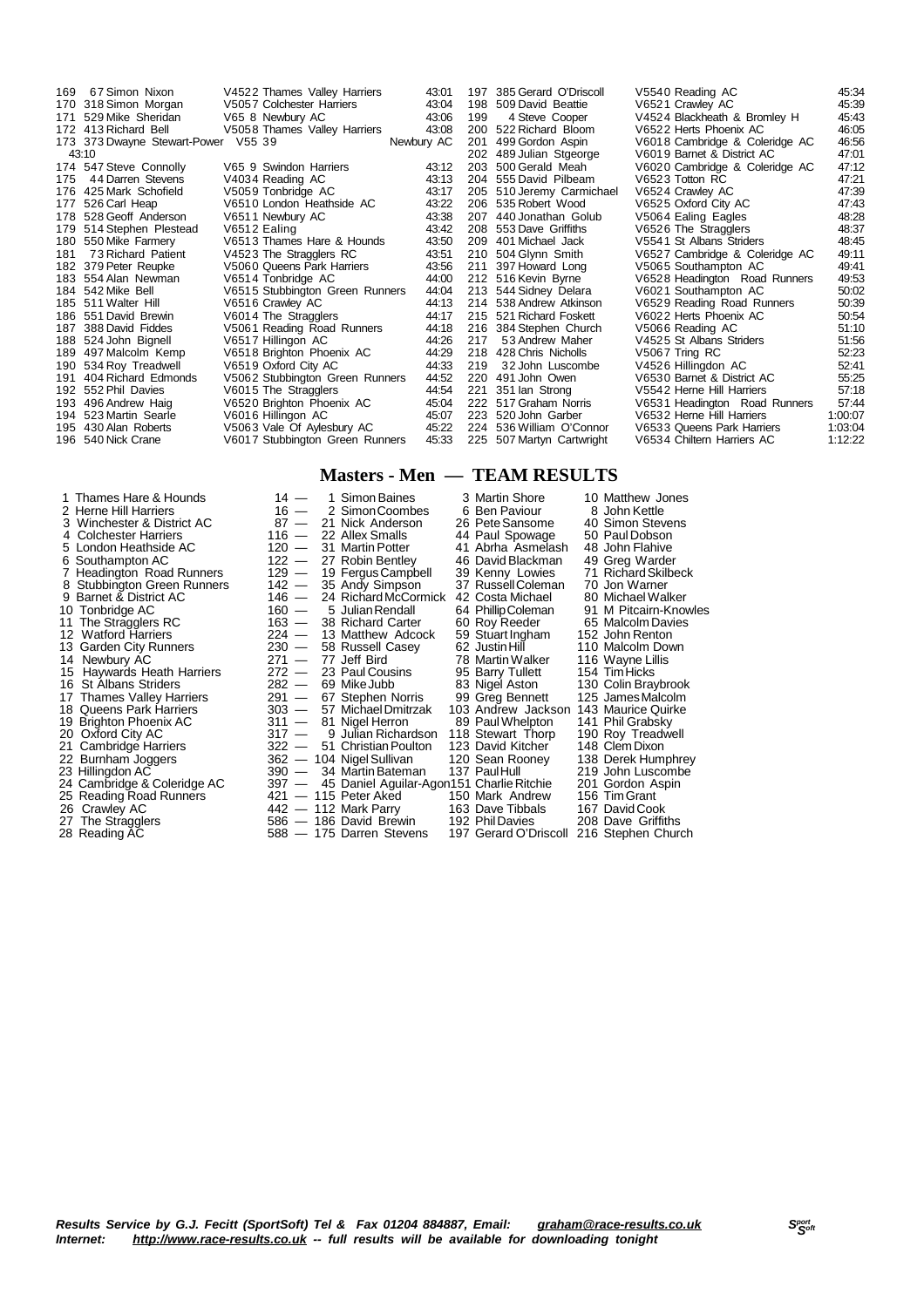| 169 | 67 Simon Nixon                      | V4522 Thames Valley Harriers    | 43:01      | 197 | 385 Gerard O'Driscoll     | V5540 Reading AC               | 45:34   |
|-----|-------------------------------------|---------------------------------|------------|-----|---------------------------|--------------------------------|---------|
|     | 170 318 Simon Morgan                | V5057 Colchester Harriers       | 43:04      | 198 | 509 David Beattie         | V6521 Crawley AC               | 45:39   |
| 171 | 529 Mike Sheridan                   | V65 8 Newbury AC                | 43:06      | 199 | 4 Steve Cooper            | V4524 Blackheath & Bromley H   | 45:43   |
|     | 172 413 Richard Bell                | V5058 Thames Valley Harriers    | 43:08      |     | 200 522 Richard Bloom     | V6522 Herts Phoenix AC         | 46:05   |
|     | 173 373 Dwayne Stewart-Power V55 39 |                                 | Newbury AC |     | 201 499 Gordon Aspin      | V6018 Cambridge & Coleridge AC | 46:56   |
|     | 43:10                               |                                 |            |     | 202 489 Julian Stgeorge   | V6019 Barnet & District AC     | 47:01   |
|     | 174 547 Steve Connolly              | V65 9 Swindon Harriers          | 43:12      | 203 | 500 Gerald Meah           | V6020 Cambridge & Coleridge AC | 47:12   |
| 175 | 44 Darren Stevens                   | V4034 Reading AC                | 43:13      |     | 204 555 David Pilbeam     | V6523 Totton RC                | 47:21   |
|     | 176 425 Mark Schofield              | V5059 Tonbridge AC              | 43:17      |     | 205 510 Jeremy Carmichael | V6524 Crawley AC               | 47:39   |
| 177 | 526 Carl Heap                       | V6510 London Heathside AC       | 43:22      |     | 206 535 Robert Wood       | V6525 Oxford City AC           | 47:43   |
|     | 178 528 Geoff Anderson              | V6511 Newbury AC                | 43:38      |     | 207 440 Jonathan Golub    | V5064 Ealing Eagles            | 48:28   |
| 179 | 514 Stephen Plestead                | V6512 Ealing                    | 43:42      |     | 208 553 Dave Griffiths    | V6526 The Stragglers           | 48:37   |
|     | 180 550 Mike Farmery                | V6513 Thames Hare & Hounds      | 43:50      |     | 209 401 Michael Jack      | V5541 St Albans Striders       | 48:45   |
| 181 | 73 Richard Patient                  | V4523 The Stragglers RC         | 43:51      |     | 210 504 Glynn Smith       | V6527 Cambridge & Coleridge AC | 49:11   |
|     | 182 379 Peter Reupke                | V5060 Queens Park Harriers      | 43:56      |     | 211 397 Howard Long       | V5065 Southampton AC           | 49:41   |
|     | 183 554 Alan Newman                 | V6514 Tonbridge AC              | 44:00      |     | 212 516 Kevin Byrne       | V6528 Headington Road Runners  | 49:53   |
|     | 184 542 Mike Bell                   | V6515 Stubbington Green Runners | 44:04      |     | 213 544 Sidney Delara     | V6021 Southampton AC           | 50:02   |
|     | 185 511 Walter Hill                 | V6516 Crawley AC                | 44:13      |     | 214 538 Andrew Atkinson   | V6529 Reading Road Runners     | 50:39   |
|     | 186 551 David Brewin                | V6014 The Stragglers            | 44:17      |     | 215 521 Richard Foskett   | V6022 Herts Phoenix AC         | 50:54   |
| 187 | 388 David Fiddes                    | V5061 Reading Road Runners      | 44:18      |     | 216 384 Stephen Church    | V5066 Reading AC               | 51:10   |
|     | 188 524 John Bignell                | V6517 Hillingon AC              | 44:26      | 217 | 53 Andrew Maher           | V4525 St Albans Striders       | 51:56   |
|     | 189 497 Malcolm Kemp                | V6518 Brighton Phoenix AC       | 44:29      |     | 218 428 Chris Nicholls    | V5067 Tring RC                 | 52:23   |
|     | 190 534 Roy Treadwell               | V6519 Oxford City AC            | 44:33      | 219 | 32 John Luscombe          | V4526 Hillingdon AC            | 52:41   |
| 191 | 404 Richard Edmonds                 | V5062 Stubbington Green Runners | 44:52      |     | 220 491 John Owen         | V6530 Barnet & District AC     | 55:25   |
|     | 192 552 Phil Davies                 | V6015 The Stragglers            | 44:54      | 221 | 351 lan Strong            | V5542 Herne Hill Harriers      | 57:18   |
|     | 193 496 Andrew Haig                 | V6520 Brighton Phoenix AC       | 45:04      |     | 222 517 Graham Norris     | V6531 Headington Road Runners  | 57:44   |
|     | 194 523 Martin Searle               | V6016 Hillingon AC              | 45:07      |     | 223 520 John Garber       | V6532 Herne Hill Harriers      | 1:00:07 |
|     | 195 430 Alan Roberts                | V5063 Vale Of Aylesbury AC      | 45:22      |     | 224 536 William O'Connor  | V6533 Queens Park Harriers     | 1:03:04 |
|     | 196 540 Nick Crane                  | V6017 Stubbington Green Runners | 45:33      |     | 225 507 Martyn Cartwright | V6534 Chiltern Harriers AC     | 1:12:22 |

# **Masters - Men — TEAM RESULTS**

| 1 Thames Hare & Hounds<br>2 Herne Hill Harriers<br>3 Winchester & District AC<br>4 Colchester Harriers<br>5 London Heathside AC<br>6 Southampton AC<br>7 Headington Road Runners<br>8 Stubbington Green Runners<br>9 Barnet & District AC<br>10 Tonbridge AC<br>11 The Stragglers RC<br>12 Watford Harriers<br>13 Garden City Runners<br>14 Newbury AC<br>Haywards Heath Harriers<br>15<br>16 St Albans Striders<br>17 Thames Valley Harriers<br>18 Queens Park Harriers<br>19 Brighton Phoenix AC<br>20 Oxford City AC<br>21 Cambridge Harriers<br>22 Burnham Joggers<br>23 Hillingdon AC<br>24 Cambridge & Coleridge AC<br>25 Reading Road Runners<br>26 Crawley AC | $14 -$<br>$16 -$<br>$87 -$<br>$116 -$<br>$120 -$<br>$122 -$<br>$129 -$<br>$142 -$<br>146 —<br>$160 -$<br>$163 -$<br>$224 -$<br>$230 -$<br>$272 -$<br>$282 -$<br>$291 -$<br>$303 -$<br>$311 -$<br>$317 -$<br>$322 -$ | 1 Simon Baines<br>2 Simon Coombes<br>21 Nick Anderson<br>22 Allex Smalls<br>31 Martin Potter<br>27 Robin Bentley<br>19 Fergus Campbell<br>35 Andy Simpson<br>24 Richard McCormick<br>5 Julian Rendall<br>38 Richard Carter<br>13 Matthew Adcock<br>58 Russell Casey<br>$271 - 77$ Jeff Bird<br>23 Paul Cousins<br>69 Mike Jubb<br>67 Stephen Norris<br>57 Michael Dmitrzak<br>81 Nigel Herron<br>9 Julian Richardson<br>51 Christian Poulton<br>362 - 104 Nigel Sullivan<br>390 - 34 Martin Bateman<br>397 - 45 Daniel Aguilar-Agon151 Charlie Ritchie<br>$421 - 115$ Peter Aked<br>$442 - 112$ Mark Parry | 3 Martin Shore<br>6 Ben Paviour<br>26 Pete Sansome<br>44 Paul Spowage<br>41 Abrha Asmelash<br>46 David Blackman<br>39 Kenny Lowies<br>37 Russell Coleman<br>42 Costa Michael<br>64 Phillip Coleman<br>60 Roy Reeder<br>59 Stuart Ingham<br>62 Justin Hill<br>78 Martin Walker<br>95 Barry Tullett<br>83 Nigel Aston<br>99 Greg Bennett<br>103 Andrew Jackson<br>89 Paul Whelpton<br>118 Stewart Thorp<br>123 David Kitcher<br>120 Sean Rooney<br>137 Paul Hull<br>150 Mark Andrew<br>163 Dave Tibbals | 10 Matthew Jones<br>8 John Kettle<br>40 Simon Stevens<br>50 Paul Dobson<br>48 John Flahive<br>49 Greg Warder<br>71 Richard Skilbeck<br>70 Jon Warner<br>80 Michael Walker<br>91 M Pitcairn-Knowles<br>65 Malcolm Davies<br>152 John Renton<br>110 Malcolm Down<br>116 Wayne Lillis<br>154 Tim Hicks<br>130 Colin Braybrook<br>125 James Malcolm<br>143 Maurice Quirke<br>141 Phil Grabsky<br>190 Roy Treadwell<br>148 Clem Dixon<br>138 Derek Humphrey<br>219 John Luscombe<br>201 Gordon Aspin<br>156 Tim Grant<br>167 David Cook |
|-----------------------------------------------------------------------------------------------------------------------------------------------------------------------------------------------------------------------------------------------------------------------------------------------------------------------------------------------------------------------------------------------------------------------------------------------------------------------------------------------------------------------------------------------------------------------------------------------------------------------------------------------------------------------|---------------------------------------------------------------------------------------------------------------------------------------------------------------------------------------------------------------------|------------------------------------------------------------------------------------------------------------------------------------------------------------------------------------------------------------------------------------------------------------------------------------------------------------------------------------------------------------------------------------------------------------------------------------------------------------------------------------------------------------------------------------------------------------------------------------------------------------|-------------------------------------------------------------------------------------------------------------------------------------------------------------------------------------------------------------------------------------------------------------------------------------------------------------------------------------------------------------------------------------------------------------------------------------------------------------------------------------------------------|------------------------------------------------------------------------------------------------------------------------------------------------------------------------------------------------------------------------------------------------------------------------------------------------------------------------------------------------------------------------------------------------------------------------------------------------------------------------------------------------------------------------------------|
| 27 The Stragglers                                                                                                                                                                                                                                                                                                                                                                                                                                                                                                                                                                                                                                                     |                                                                                                                                                                                                                     | 586 - 186 David Brewin                                                                                                                                                                                                                                                                                                                                                                                                                                                                                                                                                                                     | 192 Phil Davies                                                                                                                                                                                                                                                                                                                                                                                                                                                                                       | 208 Dave Griffiths                                                                                                                                                                                                                                                                                                                                                                                                                                                                                                                 |
| 28 Reading AC                                                                                                                                                                                                                                                                                                                                                                                                                                                                                                                                                                                                                                                         |                                                                                                                                                                                                                     | 588 - 175 Darren Stevens                                                                                                                                                                                                                                                                                                                                                                                                                                                                                                                                                                                   | 197 Gerard O'Driscoll                                                                                                                                                                                                                                                                                                                                                                                                                                                                                 | 216 Stephen Church                                                                                                                                                                                                                                                                                                                                                                                                                                                                                                                 |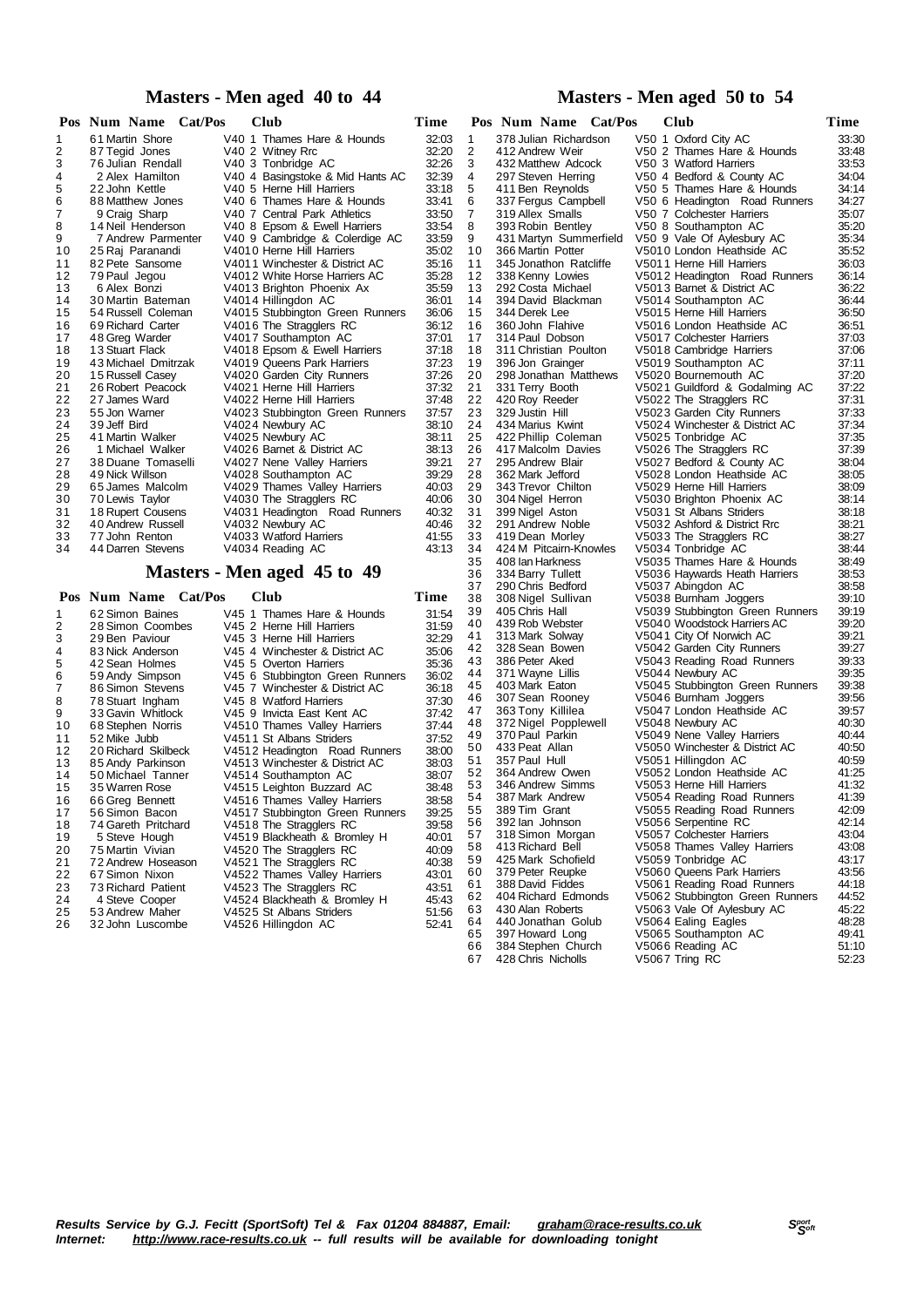# **Masters - Men aged 40 to 44**

|    |              | Pos Num Name        | Cat/Pos |  | <b>Club</b>                      | Time  |
|----|--------------|---------------------|---------|--|----------------------------------|-------|
| 1  |              | 61 Martin Shore     |         |  | V40 1 Thames Hare & Hounds       | 32:03 |
| 2  |              | 87 Tegid Jones      |         |  | V40 2 Witney Rrc                 | 32:20 |
| 3  |              | 76 Julian Rendall   |         |  | V40 3 Tonbridge AC               | 32:26 |
| 4  |              | 2 Alex Hamilton     |         |  | V40 4 Basingstoke & Mid Hants AC | 32:39 |
| 5  |              | 22 John Kettle      |         |  | V40 5 Herne Hill Harriers        | 33:18 |
| 6  |              | 88 Matthew Jones    |         |  | V40 6 Thames Hare & Hounds       | 33:41 |
| 7  |              | 9 Craig Sharp       |         |  | V40 7 Central Park Athletics     | 33:50 |
| 8  |              | 14 Neil Henderson   |         |  | V40 8 Epsom & Ewell Harriers     | 33:54 |
| 9  |              | 7 Andrew Parmenter  |         |  | V40 9 Cambridge & Colerdige AC   | 33:59 |
| 10 |              | 25 Raj Paranandi    |         |  | V4010 Herne Hill Harriers        | 35:02 |
| 11 |              | 82 Pete Sansome     |         |  | V4011 Winchester & District AC   | 35:16 |
| 12 |              | 79 Paul Jegou       |         |  | V4012 White Horse Harriers AC    | 35:28 |
| 13 |              | 6 Alex Bonzi        |         |  | V4013 Brighton Phoenix Ax        | 35:59 |
| 14 |              | 30 Martin Bateman   |         |  | V4014 Hillingdon AC              | 36:01 |
| 15 |              | 54 Russell Coleman  |         |  | V4015 Stubbington Green Runners  | 36:06 |
| 16 |              | 69 Richard Carter   |         |  | V4016 The Stragglers RC          | 36:12 |
| 17 |              | 48 Greg Warder      |         |  | V4017 Southampton AC             | 37:01 |
| 18 |              | 13 Stuart Flack     |         |  | V4018 Epsom & Ewell Harriers     | 37:18 |
| 19 |              | 43 Michael Dmitrzak |         |  | V4019 Queens Park Harriers       | 37:23 |
| 20 |              | 15 Russell Casey    |         |  | V4020 Garden City Runners        | 37:26 |
| 21 |              | 26 Robert Peacock   |         |  | V4021 Herne Hill Harriers        | 37:32 |
| 22 |              | 27 James Ward       |         |  | V4022 Herne Hill Harriers        | 37:48 |
| 23 |              | 55 Jon Warner       |         |  | V4023 Stubbington Green Runners  | 37:57 |
| 24 | 39 Jeff Bird |                     |         |  | V4024 Newbury AC                 | 38:10 |
| 25 |              | 41 Martin Walker    |         |  | V4025 Newbury AC                 | 38:11 |
| 26 |              | 1 Michael Walker    |         |  | V4026 Barnet & District AC       | 38:13 |
| 27 |              | 38 Duane Tomaselli  |         |  | V4027 Nene Valley Harriers       | 39:21 |
| 28 |              | 49 Nick Willson     |         |  | V4028 Southampton AC             | 39:29 |
| 29 |              | 65 James Malcolm    |         |  | V4029 Thames Valley Harriers     | 40:03 |
| 30 |              | 70 Lewis Taylor     |         |  | V4030 The Stragglers RC          | 40:06 |
| 31 |              | 18 Rupert Cousens   |         |  | V4031 Headington Road Runners    | 40:32 |
| 32 |              | 40 Andrew Russell   |         |  | V4032 Newbury AC                 | 40:46 |
| 33 |              | 77 John Renton      |         |  | V4033 Watford Harriers           | 41:55 |
| 34 |              | 44 Darren Stevens   |         |  | V4034 Reading AC                 | 43:13 |

# **Masters - Men aged 45 to 49**

|    | Pos Num Name Cat/Pos | <b>Club</b>                     | Time  |
|----|----------------------|---------------------------------|-------|
| 1  | 62 Simon Baines      | V45 1 Thames Hare & Hounds      | 31:54 |
| 2  | 28 Simon Coombes     | V45 2 Herne Hill Harriers       | 31:59 |
| 3  | 29 Ben Paviour       | V45 3 Herne Hill Harriers       | 32:29 |
| 4  | 83 Nick Anderson     | V45 4 Winchester & District AC  | 35:06 |
| 5  | 42 Sean Holmes       | V45 5 Overton Harriers          | 35:36 |
| 6  | 59 Andy Simpson      | V45 6 Stubbington Green Runners | 36:02 |
| 7  | 86 Simon Stevens     | V45 7 Winchester & District AC  | 36:18 |
| 8  | 78 Stuart Ingham     | V45 8 Watford Harriers          | 37:30 |
| 9  | 33 Gavin Whitlock    | V45 9 Invicta East Kent AC      | 37:42 |
| 10 | 68 Stephen Norris    | V4510 Thames Valley Harriers    | 37:44 |
| 11 | 52 Mike Jubb         | V4511 St Albans Striders        | 37:52 |
| 12 | 20 Richard Skilbeck  | V4512 Headington Road Runners   | 38:00 |
| 13 | 85 Andy Parkinson    | V4513 Winchester & District AC  | 38:03 |
| 14 | 50 Michael Tanner    | V4514 Southampton AC            | 38:07 |
| 15 | 35 Warren Rose       | V4515 Leighton Buzzard AC       | 38:48 |
| 16 | 66 Greg Bennett      | V4516 Thames Valley Harriers    | 38:58 |
| 17 | 56 Simon Bacon       | V4517 Stubbington Green Runners | 39:25 |
| 18 | 74 Gareth Pritchard  | V4518 The Stragglers RC         | 39:58 |
| 19 | 5 Steve Hough        | V4519 Blackheath & Bromley H    | 40:01 |
| 20 | 75 Martin Vivian     | V4520 The Stragglers RC         | 40:09 |
| 21 | 72 Andrew Hoseason   | V4521 The Stragglers RC         | 40:38 |
| 22 | 67 Simon Nixon       | V4522 Thames Valley Harriers    | 43:01 |
| 23 | 73 Richard Patient   | V4523 The Stragglers RC         | 43:51 |
| 24 | 4 Steve Cooper       | V4524 Blackheath & Bromley H    | 45:43 |
| 25 | 53 Andrew Maher      | V4525 St Albans Striders        | 51:56 |
| 26 | 32 John Luscombe     | V4526 Hillingdon AC             | 52:41 |
|    |                      |                                 |       |

# **Masters - Men aged 50 to 54**

|          | Pos Num Name Cat/Pos                       | Club                                                  | Time           |
|----------|--------------------------------------------|-------------------------------------------------------|----------------|
| 1        | 378 Julian Richardson                      | V50 1 Oxford City AC                                  | 33:30          |
| 2        | 412 Andrew Weir                            | V50 2 Thames Hare & Hounds                            | 33:48          |
| 3        | 432 Matthew Adcock                         | V50 3 Watford Harriers                                | 33:53          |
| 4        | 297 Steven Herring                         | V50 4 Bedford & County AC                             | 34:04          |
| 5        | 411 Ben Reynolds                           | V50 5 Thames Hare & Hounds                            | 34:14          |
| 6        | 337 Fergus Campbell                        | V50 6 Headington Road Runners                         | 34:27          |
| 7        | 319 Allex Smalls                           | V50 7 Colchester Harriers                             | 35:07          |
| 8        | 393 Robin Bentley                          | V50 8 Southampton AC                                  | 35:20          |
| 9        | 431 Martyn Summerfield                     | V50 9 Vale Of Aylesbury AC                            | 35:34          |
| 10       | 366 Martin Potter                          | V5010 London Heathside AC                             | 35:52          |
| 11       | 345 Jonathon Ratcliffe                     | V5011 Herne Hill Harriers                             | 36:03          |
| 12       | 338 Kenny Lowies                           | V5012 Headington Road Runners                         | 36:14          |
| 13<br>14 | 292 Costa Michael<br>394 David Blackman    | V5013 Barnet & District AC                            | 36:22<br>36:44 |
| 15       | 344 Derek Lee                              | V5014 Southampton AC<br>V5015 Herne Hill Harriers     | 36:50          |
| 16       | 360 John Flahive                           | V5016 London Heathside AC                             | 36:51          |
| 17       | 314 Paul Dobson                            | V5017 Colchester Harriers                             | 37:03          |
| 18       | 311 Christian Poulton                      | V5018 Cambridge Harriers                              | 37:06          |
| 19       | 396 Jon Grainger                           | V5019 Southampton AC                                  | 37:11          |
| 20       | 298 Jonathan Matthews                      | V5020 Bournemouth AC                                  | 37:20          |
| 21       | 331 Terry Booth                            | V5021 Guildford & Godalming AC                        | 37:22          |
| 22       | 420 Roy Reeder                             | V5022 The Stragglers RC                               | 37:31          |
| 23       | 329 Justin Hill                            | V5023 Garden City Runners                             | 37:33          |
| 24       | 434 Marius Kwint                           | V5024 Winchester & District AC                        | 37:34          |
| 25       | 422 Phillip Coleman                        | V5025 Tonbridge AC                                    | 37:35          |
| 26       | 417 Malcolm Davies                         | V5026 The Stragglers RC                               | 37:39          |
| 27       | 295 Andrew Blair                           | V5027 Bedford & County AC                             | 38:04          |
| 28       | 362 Mark Jefford                           | V5028 London Heathside AC                             | 38:05          |
| 29       | 343 Trevor Chilton                         | V5029 Herne Hill Harriers                             | 38:09          |
| 30       | 304 Nigel Herron                           | V5030 Brighton Phoenix AC                             | 38:14          |
| 31       | 399 Nigel Aston                            | V5031 St Albans Striders                              | 38:18          |
| 32       | 291 Andrew Noble                           | V5032 Ashford & District Rrc                          | 38:21          |
| 33<br>34 | 419 Dean Morley                            | V5033 The Stragglers RC                               | 38:27<br>38:44 |
| 35       | 424 M Pitcairn-Knowles<br>408 Ian Harkness | V5034 Tonbridge AC<br>V5035 Thames Hare & Hounds      | 38:49          |
| 36       | 334 Barry Tullett                          | V5036 Haywards Heath Harriers                         | 38:53          |
| 37       | 290 Chris Bedford                          | V5037 Abingdon AC                                     | 38:58          |
| 38       | 308 Nigel Sullivan                         | V5038 Burnham Joggers                                 | 39:10          |
| 39       | 405 Chris Hall                             | V5039 Stubbington Green Runners                       | 39:19          |
| 40       | 439 Rob Webster                            | V5040 Woodstock Harriers AC                           | 39:20          |
| 41       | 313 Mark Solway                            | V5041 City Of Norwich AC                              | 39:21          |
| 42       | 328 Sean Bowen                             | V5042 Garden City Runners                             | 39:27          |
| 43       | 386 Peter Aked                             | V5043 Reading Road Runners                            | 39:33          |
| 44       | 371 Wayne Lillis                           | V5044 Newbury AC                                      | 39:35          |
| 45       | 403 Mark Eaton                             | V5045 Stubbington Green Runners                       | 39:38          |
| 46       | 307 Sean Rooney                            | V5046 Burnham Joggers                                 | 39:56          |
| 47       | 363 Tony Killilea                          | V5047 London Heathside AC                             | 39:57          |
| 48       | 372 Nigel Popplewell                       | V5048 Newbury AC                                      | 40:30          |
| 49       | 370 Paul Parkin                            | V5049 Nene Valley Harriers                            | 40:44          |
| 50<br>51 | 433 Peat Allan<br>357 Paul Hull            | V5050 Winchester & District AC<br>V5051 Hillingdon AC | 40:50<br>40:59 |
| 52       | 364 Andrew Owen                            | V5052 London Heathside AC                             | 41:25          |
| 53       | 346 Andrew Simms                           | V5053 Herne Hill Harriers                             | 41:32          |
| 54       | 387 Mark Andrew                            | V5054 Reading Road Runners                            | 41:39          |
| 55       | 389 Tim Grant                              | V5055 Reading Road Runners                            | 42:09          |
| 56       | 392 lan Johnson                            | V5056 Serpentine RC                                   | 42:14          |
| 57       | 318 Simon Morgan                           | V5057 Colchester Harriers                             | 43:04          |
| 58       | 413 Richard Bell                           | V5058 Thames Valley Harriers                          | 43:08          |
| 59       | 425 Mark Schofield                         | V5059 Tonbridge AC                                    | 43:17          |
| 60       | 379 Peter Reupke                           | V5060 Queens Park Harriers                            | 43:56          |
| 61       | 388 David Fiddes                           | V5061 Reading Road Runners                            | 44:18          |
| 62       | 404 Richard Edmonds                        | V5062 Stubbington Green Runners                       | 44:52          |
| 63       | 430 Alan Roberts                           | V5063 Vale Of Aylesbury AC                            | 45:22          |
| 64       | 440 Jonathan Golub                         | V5064 Ealing Eagles                                   | 48:28          |
| 65       | 397 Howard Long                            | V5065 Southampton AC                                  | 49:41          |
| 66       | 384 Stephen Church<br>428 Chris Nicholls   | V5066 Reading AC                                      | 51:10          |
| 67       |                                            | V5067 Tring RC                                        | 52:23          |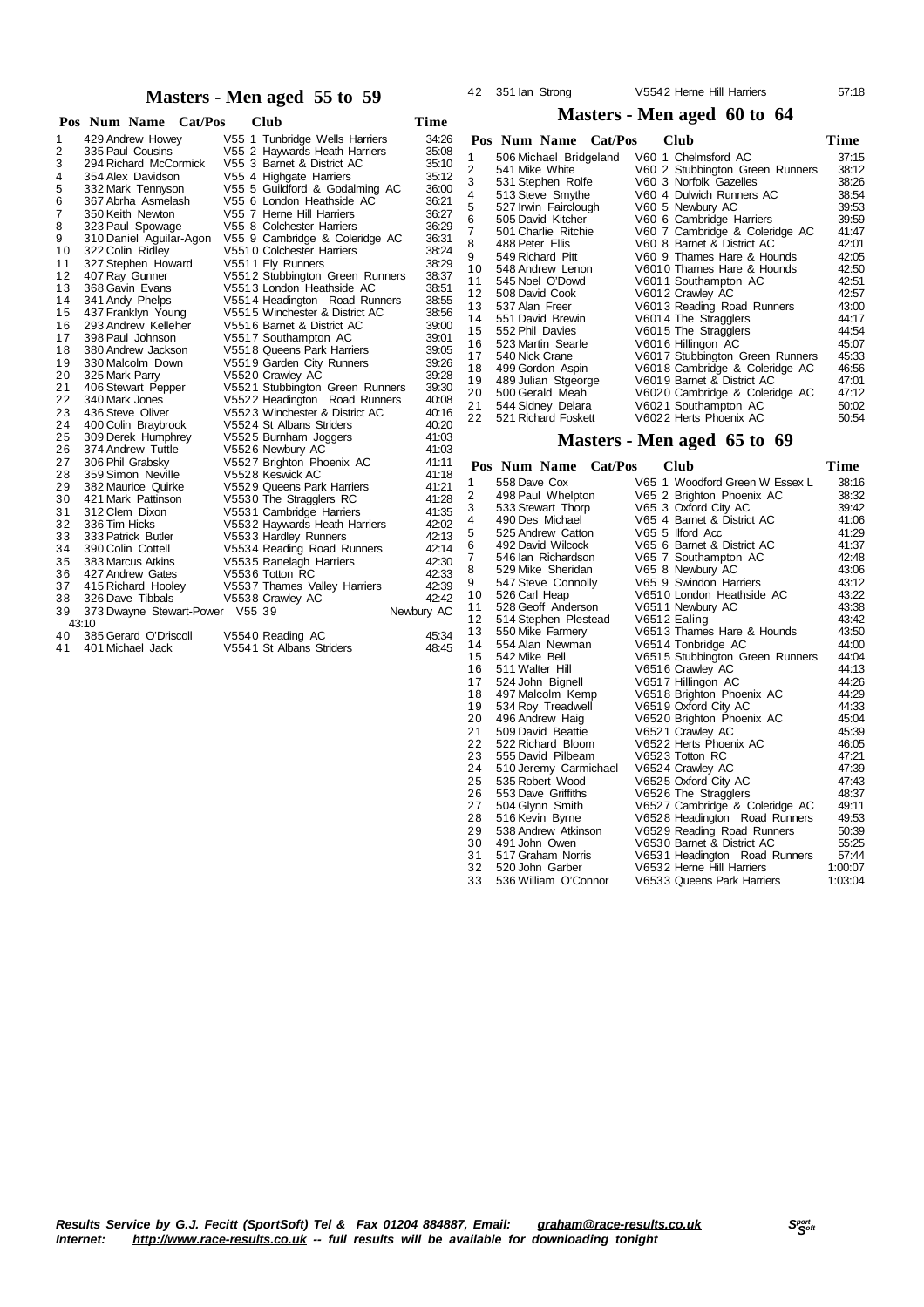# **Masters - Men aged 55 to 59**

|          | Cat/Pos<br>Pos Num Name               | <b>Club</b>                                | Time           |
|----------|---------------------------------------|--------------------------------------------|----------------|
| 1        | 429 Andrew Howey                      | V55 1 Tunbridge Wells Harriers             | 34:26          |
| 2        | 335 Paul Cousins                      | V55 2 Haywards Heath Harriers              | 35:08          |
| 3        | 294 Richard McCormick                 | V55 3 Barnet & District AC                 | 35:10          |
| 4        | 354 Alex Davidson                     | V55 4 Highgate Harriers                    | 35:12          |
| 5        | 332 Mark Tennyson                     | V55 5 Guildford & Godalming AC             | 36:00          |
| 6        | 367 Abrha Asmelash                    | V55 6 London Heathside AC                  | 36:21          |
| 7        | 350 Keith Newton                      | V55 7 Herne Hill Harriers                  | 36:27          |
| 8        | 323 Paul Spowage                      | V55 8 Colchester Harriers                  | 36:29          |
| 9        | 310 Daniel Aguilar-Agon               | V55 9 Cambridge & Coleridge AC             | 36:31          |
| 10       | 322 Colin Ridley                      | V5510 Colchester Harriers                  | 38:24          |
| 11       | 327 Stephen Howard                    | V5511 Ely Runners                          | 38:29          |
| 12       | 407 Ray Gunner                        | V5512 Stubbington Green Runners            | 38:37          |
| 13       | 368 Gavin Evans                       | V5513 London Heathside AC                  | 38:51          |
| 14       | 341 Andy Phelps                       | V5514 Headington Road Runners              | 38:55          |
| 15       | 437 Franklyn Young                    | V5515 Winchester & District AC             | 38:56          |
| 16       | 293 Andrew Kelleher                   | V5516 Barnet & District AC                 | 39:00          |
| 17       | 398 Paul Johnson                      | V5517 Southampton AC                       | 39:01          |
| 18       | 380 Andrew Jackson                    | V5518 Queens Park Harriers                 | 39:05          |
| 19       | 330 Malcolm Down                      | V5519 Garden City Runners                  | 39:26          |
| 20       | 325 Mark Parry                        | V5520 Crawley AC                           | 39:28          |
| 21       | 406 Stewart Pepper                    | V5521 Stubbington Green Runners            | 39:30          |
| 22       | 340 Mark Jones                        | V5522 Headington Road Runners              | 40:08          |
| 23       | 436 Steve Oliver                      | V5523 Winchester & District AC             | 40:16          |
| 24       | 400 Colin Braybrook                   | V5524 St Albans Striders                   | 40:20          |
| 25       | 309 Derek Humphrey                    | V5525 Burnham Joggers                      | 41:03          |
| 26       | 374 Andrew Tuttle                     | V5526 Newbury AC                           | 41:03          |
| 27       | 306 Phil Grabsky                      | V5527 Brighton Phoenix AC                  | 41:11          |
| 28       | 359 Simon Neville                     | V5528 Keswick AC                           | 41:18          |
| 29       | 382 Maurice Quirke                    | V5529 Queens Park Harriers                 | 41:21          |
| 30       | 421 Mark Pattinson                    | V5530 The Stragglers RC                    | 41:28          |
| 31       | 312 Clem Dixon                        | V5531 Cambridge Harriers                   | 41:35          |
| 32<br>33 | 336 Tim Hicks<br>333 Patrick Butler   | V5532 Haywards Heath Harriers              | 42:02<br>42:13 |
|          |                                       | V5533 Hardley Runners                      |                |
| 34<br>35 | 390 Colin Cottell                     | V5534 Reading Road Runners                 | 42:14<br>42:30 |
| 36       | 383 Marcus Atkins<br>427 Andrew Gates | V5535 Ranelagh Harriers<br>V5536 Totton RC | 42:33          |
| 37       | 415 Richard Hooley                    | V5537 Thames Valley Harriers               | 42:39          |
| 38       | 326 Dave Tibbals                      | V5538 Crawley AC                           | 42:42          |
| 39       | 373 Dwayne Stewart-Power V55 39       |                                            | Newbury AC     |
|          | 43:10                                 |                                            |                |
| 40       | 385 Gerard O'Driscoll                 | V5540 Reading AC                           | 45:34          |
| 41       | 401 Michael Jack                      | V5541 St Albans Striders                   | 48:45          |
|          |                                       |                                            |                |

### 42 351 Ian Strong V5542 Herne Hill Harriers 57:18

# **Masters - Men aged 60 to 64**

|                | Pos Num Name Cat/Pos   | Club                            | Time  |
|----------------|------------------------|---------------------------------|-------|
| 1              | 506 Michael Bridgeland | V60 1 Chelmsford AC             | 37:15 |
| 2              | 541 Mike White         | V60 2 Stubbington Green Runners | 38:12 |
| 3              | 531 Stephen Rolfe      | V60 3 Norfolk Gazelles          | 38:26 |
| 4              | 513 Steve Smythe       | V60 4 Dulwich Runners AC        | 38:54 |
| 5              | 527 Irwin Fairclough   | V60 5 Newbury AC                | 39:53 |
| 6              | 505 David Kitcher      | V60 6 Cambridge Harriers        | 39:59 |
| $\overline{7}$ | 501 Charlie Ritchie    | V60 7 Cambridge & Coleridge AC  | 41:47 |
| 8              | 488 Peter Ellis        | V60 8 Barnet & District AC      | 42:01 |
| 9              | 549 Richard Pitt       | V60 9 Thames Hare & Hounds      | 42:05 |
| 10             | 548 Andrew Lenon       | V6010 Thames Hare & Hounds      | 42:50 |
| 11             | 545 Noel O'Dowd        | V6011 Southampton AC            | 42:51 |
| 12             | 508 David Cook         | V6012 Crawley AC                | 42:57 |
| 13             | 537 Alan Freer         | V6013 Reading Road Runners      | 43:00 |
| 14             | 551 David Brewin       | V6014 The Stragglers            | 44:17 |
| 15             | 552 Phil Davies        | V6015 The Stragglers            | 44:54 |
| 16             | 523 Martin Searle      | V6016 Hillingon AC              | 45:07 |
| 17             | 540 Nick Crane         | V6017 Stubbington Green Runners | 45:33 |
| 18             | 499 Gordon Aspin       | V6018 Cambridge & Coleridge AC  | 46:56 |
| 19             | 489 Julian Stgeorge    | V6019 Barnet & District AC      | 47:01 |
| 20             | 500 Gerald Meah        | V6020 Cambridge & Coleridge AC  | 47:12 |
| 21             | 544 Sidney Delara      | V6021 Southampton AC            | 50:02 |
| 22             | 521 Richard Foskett    | V6022 Herts Phoenix AC          | 50:54 |

# **Masters - Men aged 65 to 69**

|                |                 | Pos Num Name          | Cat/Pos |  | Club                            | Time    |
|----------------|-----------------|-----------------------|---------|--|---------------------------------|---------|
| 1              | 558 Dave Cox    |                       |         |  | V65 1 Woodford Green W Essex L  | 38:16   |
| 2              |                 | 498 Paul Whelpton     |         |  | V65 2 Brighton Phoenix AC       | 38:32   |
| 3              |                 | 533 Stewart Thorp     |         |  | V65 3 Oxford City AC            | 39:42   |
| 4              |                 | 490 Des Michael       |         |  | V65 4 Barnet & District AC      | 41:06   |
| 5              |                 | 525 Andrew Catton     |         |  | V65 5 Ilford Acc                | 41:29   |
| 6              |                 | 492 David Wilcock     |         |  | V65 6 Barnet & District AC      | 41:37   |
| $\overline{7}$ |                 | 546 Ian Richardson    |         |  | V65 7 Southampton AC            | 42:48   |
| 8              |                 | 529 Mike Sheridan     |         |  | V65 8 Newbury AC                | 43:06   |
| 9              |                 | 547 Steve Connolly    |         |  | V65 9 Swindon Harriers          | 43:12   |
| 10             | 526 Carl Heap   |                       |         |  | V6510 London Heathside AC       | 43:22   |
| 11             |                 | 528 Geoff Anderson    |         |  | V6511 Newbury AC                | 43:38   |
| 12             |                 | 514 Stephen Plestead  |         |  | V6512 Ealing                    | 43:42   |
| 13             |                 | 550 Mike Farmery      |         |  | V6513 Thames Hare & Hounds      | 43:50   |
| 14             |                 | 554 Alan Newman       |         |  | V6514 Tonbridge AC              | 44:00   |
| 15             | 542 Mike Bell   |                       |         |  | V6515 Stubbington Green Runners | 44:04   |
| 16             | 511 Walter Hill |                       |         |  | V6516 Crawley AC                | 44:13   |
| 17             |                 | 524 John Bignell      |         |  | V6517 Hillingon AC              | 44:26   |
| 18             |                 | 497 Malcolm Kemp      |         |  | V6518 Brighton Phoenix AC       | 44:29   |
| 19             |                 | 534 Roy Treadwell     |         |  | V6519 Oxford City AC            | 44:33   |
| 20             |                 | 496 Andrew Haig       |         |  | V6520 Brighton Phoenix AC       | 45:04   |
| 21             |                 | 509 David Beattie     |         |  | V6521 Crawley AC                | 45:39   |
| 22             |                 | 522 Richard Bloom     |         |  | V6522 Herts Phoenix AC          | 46:05   |
| 23             |                 | 555 David Pilbeam     |         |  | V6523 Totton RC                 | 47:21   |
| 24             |                 | 510 Jeremy Carmichael |         |  | V6524 Crawley AC                | 47:39   |
| 25             |                 | 535 Robert Wood       |         |  | V6525 Oxford City AC            | 47:43   |
| 26             |                 | 553 Dave Griffiths    |         |  | V6526 The Stragglers            | 48:37   |
| 27             |                 | 504 Glynn Smith       |         |  | V6527 Cambridge & Coleridge AC  | 49:11   |
| 28             |                 | 516 Kevin Byrne       |         |  | V6528 Headington Road Runners   | 49:53   |
| 29             |                 | 538 Andrew Atkinson   |         |  | V6529 Reading Road Runners      | 50:39   |
| 30             | 491 John Owen   |                       |         |  | V6530 Barnet & District AC      | 55:25   |
| 31             |                 | 517 Graham Norris     |         |  | V6531 Headington Road Runners   | 57:44   |
| 32             |                 | 520 John Garber       |         |  | V6532 Herne Hill Harriers       | 1:00:07 |
| 33             |                 | 536 William O'Connor  |         |  | V6533 Queens Park Harriers      | 1:03:04 |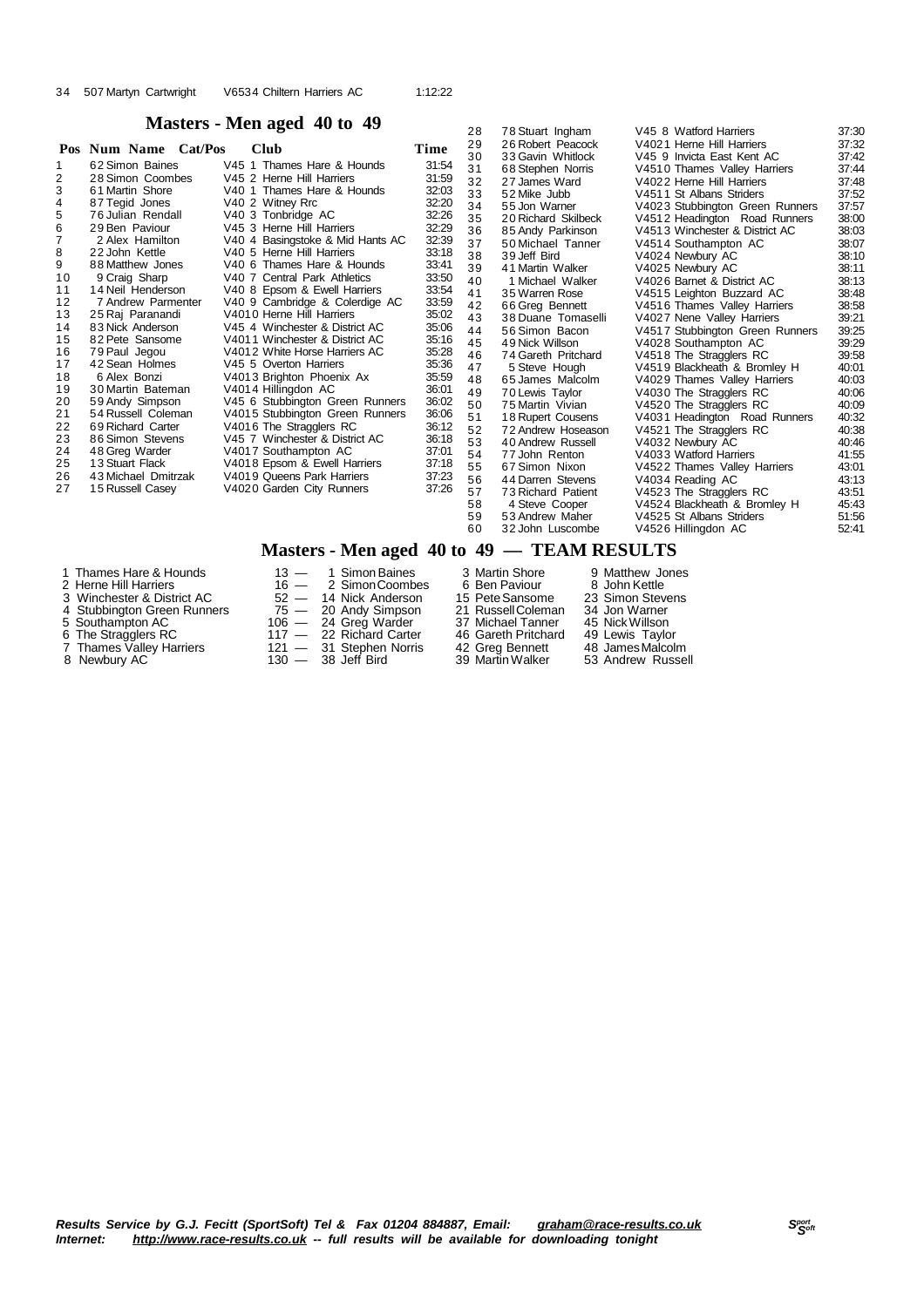# **Masters - Men aged 40 to 49**

|    | Pos Num Name Cat/Pos | <b>Club</b>                      | Time  | 29 | 26 Robert Peacock   | V4021 Herne Hill Harriers       | 37:32 |
|----|----------------------|----------------------------------|-------|----|---------------------|---------------------------------|-------|
|    | 62 Simon Baines      | V45 1 Thames Hare & Hounds       | 31:54 | 30 | 33 Gavin Whitlock   | V45 9 Invicta East Kent AC      | 37:42 |
| 2  | 28 Simon Coombes     | V45 2 Herne Hill Harriers        | 31:59 | 31 | 68 Stephen Norris   | V4510 Thames Valley Harriers    | 37:44 |
| 3  | 61 Martin Shore      | V40 1 Thames Hare & Hounds       | 32:03 | 32 | 27 James Ward       | V4022 Herne Hill Harriers       | 37:48 |
|    |                      |                                  | 32:20 | 33 | 52 Mike Jubb        | V4511 St Albans Striders        | 37:52 |
| 4  | 87 Tegid Jones       | V40 2 Witney Rrc                 |       | 34 | 55 Jon Warner       | V4023 Stubbington Green Runners | 37:57 |
| 5  | 76 Julian Rendall    | V40 3 Tonbridge AC               | 32:26 | 35 | 20 Richard Skilbeck | V4512 Headington Road Runners   | 38:00 |
| 6  | 29 Ben Paviour       | V45 3 Herne Hill Harriers        | 32:29 | 36 | 85 Andy Parkinson   | V4513 Winchester & District AC  | 38:03 |
|    | 2 Alex Hamilton      | V40 4 Basingstoke & Mid Hants AC | 32:39 | 37 | 50 Michael Tanner   | V4514 Southampton AC            | 38:07 |
| 8  | 22 John Kettle       | V40 5 Herne Hill Harriers        | 33:18 | 38 | 39 Jeff Bird        | V4024 Newbury AC                | 38:10 |
| 9  | 88 Matthew Jones     | V40 6 Thames Hare & Hounds       | 33:41 | 39 | 41 Martin Walker    | V4025 Newbury AC                | 38:11 |
| 10 | 9 Craig Sharp        | V40 7 Central Park Athletics     | 33:50 | 40 | 1 Michael Walker    | V4026 Barnet & District AC      | 38:13 |
| 11 | 14 Neil Henderson    | V40 8 Epsom & Ewell Harriers     | 33:54 | 41 | 35 Warren Rose      | V4515 Leighton Buzzard AC       | 38:48 |
| 12 | 7 Andrew Parmenter   | V40 9 Cambridge & Colerdige AC   | 33:59 | 42 | 66 Greg Bennett     | V4516 Thames Valley Harriers    | 38:58 |
| 13 | 25 Raj Paranandi     | V4010 Herne Hill Harriers        | 35:02 | 43 | 38 Duane Tomaselli  | V4027 Nene Valley Harriers      | 39:21 |
| 14 | 83 Nick Anderson     | V45 4 Winchester & District AC   | 35:06 | 44 | 56 Simon Bacon      | V4517 Stubbington Green Runners | 39:25 |
| 15 | 82 Pete Sansome      | V4011 Winchester & District AC   | 35:16 | 45 | 49 Nick Willson     | V4028 Southampton AC            | 39:29 |
| 16 | 79 Paul Jegou        | V4012 White Horse Harriers AC    | 35:28 | 46 | 74 Gareth Pritchard | V4518 The Stragglers RC         | 39:58 |
| 17 | 42 Sean Holmes       | V45 5 Overton Harriers           | 35:36 | 47 | 5 Steve Hough       | V4519 Blackheath & Bromley H    | 40:01 |
| 18 | 6 Alex Bonzi         | V4013 Brighton Phoenix Ax        | 35:59 | 48 | 65 James Malcolm    | V4029 Thames Valley Harriers    | 40:03 |
| 19 | 30 Martin Bateman    | V4014 Hillingdon AC              | 36:01 | 49 | 70 Lewis Taylor     | V4030 The Stragglers RC         | 40:06 |
| 20 | 59 Andy Simpson      | V45 6 Stubbington Green Runners  | 36:02 | 50 | 75 Martin Vivian    | V4520 The Stragglers RC         | 40:09 |
| 21 | 54 Russell Coleman   | V4015 Stubbington Green Runners  | 36:06 | 51 | 18 Rupert Cousens   | V4031 Headington Road Runners   | 40:32 |
| 22 | 69 Richard Carter    | V4016 The Stragglers RC          | 36:12 | 52 | 72 Andrew Hoseason  | V4521 The Stragglers RC         | 40:38 |
| 23 | 86 Simon Stevens     | V45 7 Winchester & District AC   | 36:18 | 53 | 40 Andrew Russell   | V4032 Newbury AC                | 40:46 |
| 24 | 48 Greg Warder       | V4017 Southampton AC             | 37:01 | 54 | 77 John Renton      | V4033 Watford Harriers          | 41:55 |
| 25 | 13 Stuart Flack      | V4018 Epsom & Ewell Harriers     | 37:18 | 55 | 67 Simon Nixon      | V4522 Thames Valley Harriers    | 43:01 |
| 26 | 43 Michael Dmitrzak  | V4019 Queens Park Harriers       | 37:23 | 56 | 44 Darren Stevens   | V4034 Reading AC                | 43:13 |
| 27 | 15 Russell Casey     | V4020 Garden City Runners        | 37:26 | 57 | 73 Richard Patient  | V4523 The Stragglers RC         | 43:51 |
|    |                      |                                  |       | 58 | 4 Steve Cooper      | V4524 Blackheath & Bromley H    | 45:43 |
|    |                      |                                  |       | 59 | 53 Andrew Maher     | V4525 St Albans Striders        | 51:56 |
|    |                      |                                  |       | 60 | 32 John Luscombe    | V4526 Hillingdon AC             | 52:41 |

## **Masters - Men aged 40 to 49 — TEAM RESULTS**

- 1 Thames Hare & Hounds 13 1 Simon Baines 3 Martin Shore 9 Matthew Jones
- 
- 
- 
- 
- 
- 
- 2 Herne Hill Harriers 16 2 SimonCoombes 6 Ben Paviour 8 John Kettle Winchester & District AC 52 14 Nick Anderson 15 PeteSansome 23 Simon Stevens 5 Southampton AC 106 — 24 Greg Warder 37 Michael Tanner 45 NickWillson 6 The Stragglers RC 117 — 22 Richard Carter 46 Gareth Pritchard 49 Lewis Taylor
	-

1 Thames Hare & Hounds<br>
2 Herne Hill Harriers  $16 - 2$  Simon Coombes  $6$  Ben Paviour  $8$  John Kettle<br>
3 Winchester & District AC  $52 - 14$  Nick Anderson  $15$  Pete Sansome  $23$  Simon Steve<br>
4 Stubbington Green Runners  $75 - 2$ 

7 Thames Valley Harriers 121 — 31 Stephen Norris 42 Greg Bennett 48 James Malcolm 8 Newbury AC 130 — 38 Jeff Bird 139 Martin Walker 153 Andrew Russell

78 Stuart Ingham V45 8 Watford Harriers 37:30

Results Service by G.J. Fecitt (SportSoft) Tel & Fax 01204 884887, Email: [graham@race-results.co.uk](mailto:graham@race-results.co.uk)<br>Internet: http://www.race-results.co.uk -- full results will be available for downloading tonight *Internet: <http://www.race-results.co.uk> -- full results will be available for downloading tonight*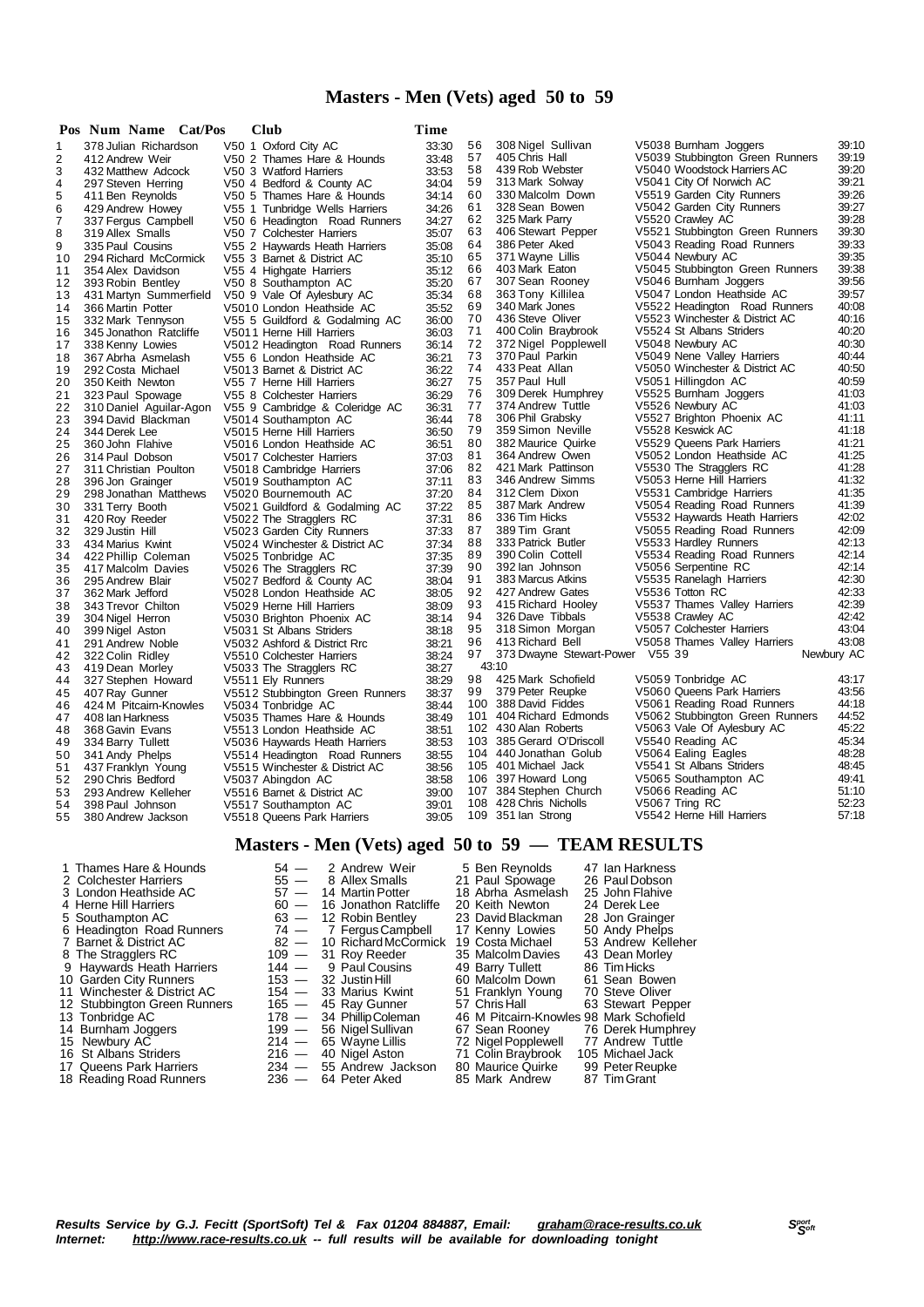## **Masters - Men (Vets) aged 50 to 59**

|          | Pos Num Name Cat/Pos                   | Club                                                        | Time           |          |                                      |                                                          |                |
|----------|----------------------------------------|-------------------------------------------------------------|----------------|----------|--------------------------------------|----------------------------------------------------------|----------------|
| 1        | 378 Julian Richardson                  | V50 1 Oxford City AC                                        | 33:30          | 56       | 308 Nigel Sullivan                   | V5038 Burnham Joggers                                    | 39:10          |
| 2        | 412 Andrew Weir                        | V50 2 Thames Hare & Hounds                                  | 33:48          | 57       | 405 Chris Hall                       | V5039 Stubbington Green Runners                          | 39:19          |
| 3        | 432 Matthew Adcock                     | V50 3 Watford Harriers                                      | 33:53          | 58       | 439 Rob Webster                      | V5040 Woodstock Harriers AC                              | 39:20          |
| 4        | 297 Steven Herring                     | V50 4 Bedford & County AC                                   | 34:04          | 59       | 313 Mark Solway                      | V5041 City Of Norwich AC                                 | 39:21          |
| 5        | 411 Ben Reynolds                       | V50 5 Thames Hare & Hounds                                  | 34:14          | 60       | 330 Malcolm Down                     | V5519 Garden City Runners                                | 39:26          |
| 6        | 429 Andrew Howey                       | V55 1 Tunbridge Wells Harriers                              | 34:26          | 61       | 328 Sean Bowen                       | V5042 Garden City Runners                                | 39:27          |
| 7        | 337 Fergus Campbell                    | V50 6 Headington Road Runners                               | 34:27          | 62       | 325 Mark Parry                       | V5520 Crawley AC                                         | 39:28          |
| 8        | 319 Allex Smalls                       | V50 7 Colchester Harriers                                   | 35:07          | 63       | 406 Stewart Pepper                   | V5521 Stubbington Green Runners                          | 39:30          |
| 9        | 335 Paul Cousins                       | V55 2 Haywards Heath Harriers                               | 35:08          | 64       | 386 Peter Aked                       | V5043 Reading Road Runners                               | 39:33<br>39:35 |
| 10       | 294 Richard McCormick                  | V55 3 Barnet & District AC                                  | 35:10          | 65<br>66 | 371 Wayne Lillis                     | V5044 Newbury AC                                         | 39:38          |
| 11       | 354 Alex Davidson                      | V55 4 Highgate Harriers                                     | 35:12          | 67       | 403 Mark Eaton<br>307 Sean Rooney    | V5045 Stubbington Green Runners<br>V5046 Burnham Joggers | 39:56          |
| 12       | 393 Robin Bentley                      | V50 8 Southampton AC                                        | 35:20<br>35:34 | 68       | 363 Tony Killilea                    | V5047 London Heathside AC                                | 39:57          |
| 13<br>14 | 431 Martyn Summerfield                 | V50 9 Vale Of Aylesbury AC                                  | 35:52          | 69       | 340 Mark Jones                       | V5522 Headington Road Runners                            | 40:08          |
| 15       | 366 Martin Potter<br>332 Mark Tennyson | V5010 London Heathside AC<br>V55 5 Guildford & Godalming AC | 36:00          | 70       | 436 Steve Oliver                     | V5523 Winchester & District AC                           | 40:16          |
| 16       | 345 Jonathon Ratcliffe                 | V5011 Herne Hill Harriers                                   | 36:03          | 71       | 400 Colin Braybrook                  | V5524 St Albans Striders                                 | 40:20          |
| 17       | 338 Kenny Lowies                       | V5012 Headington Road Runners                               | 36:14          | 72       | 372 Nigel Popplewell                 | V5048 Newbury AC                                         | 40:30          |
| 18       | 367 Abrha Asmelash                     | V55 6 London Heathside AC                                   | 36:21          | 73       | 370 Paul Parkin                      | V5049 Nene Valley Harriers                               | 40:44          |
| 19       | 292 Costa Michael                      | V5013 Barnet & District AC                                  | 36:22          | 74       | 433 Peat Allan                       | V5050 Winchester & District AC                           | 40:50          |
| 20       | 350 Keith Newton                       | V55 7 Herne Hill Harriers                                   | 36:27          | 75       | 357 Paul Hull                        | V5051 Hillingdon AC                                      | 40:59          |
| 21       | 323 Paul Spowage                       | V55 8 Colchester Harriers                                   | 36:29          | 76       | 309 Derek Humphrey                   | V5525 Burnham Joggers                                    | 41:03          |
| 22       | 310 Daniel Aguilar-Agon                | V55 9 Cambridge & Coleridge AC                              | 36:31          | 77       | 374 Andrew Tuttle                    | V5526 Newbury AC                                         | 41:03          |
| 23       | 394 David Blackman                     | V5014 Southampton AC                                        | 36:44          | 78       | 306 Phil Grabsky                     | V5527 Brighton Phoenix AC                                | 41:11          |
| 24       | 344 Derek Lee                          | V5015 Herne Hill Harriers                                   | 36:50          | 79       | 359 Simon Neville                    | V5528 Keswick AC                                         | 41:18          |
| 25       | 360 John Flahive                       | V5016 London Heathside AC                                   | 36:51          | 80       | 382 Maurice Quirke                   | V5529 Queens Park Harriers                               | 41:21          |
| 26       | 314 Paul Dobson                        | V5017 Colchester Harriers                                   | 37:03          | 81       | 364 Andrew Owen                      | V5052 London Heathside AC                                | 41:25          |
| 27       | 311 Christian Poulton                  | V5018 Cambridge Harriers                                    | 37:06          | 82       | 421 Mark Pattinson                   | V5530 The Stragglers RC                                  | 41:28          |
| 28       | 396 Jon Grainger                       | V5019 Southampton AC                                        | 37:11          | 83       | 346 Andrew Simms                     | V5053 Herne Hill Harriers                                | 41:32          |
| 29       | 298 Jonathan Matthews                  | V5020 Bournemouth AC                                        | 37:20          | 84       | 312 Clem Dixon                       | V5531 Cambridge Harriers                                 | 41:35          |
| 30       | 331 Terry Booth                        | V5021 Guildford & Godalming AC                              | 37:22          | 85       | 387 Mark Andrew                      | V5054 Reading Road Runners                               | 41:39          |
| 31       | 420 Roy Reeder                         | V5022 The Stragglers RC                                     | 37:31          | 86       | 336 Tim Hicks                        | V5532 Haywards Heath Harriers                            | 42:02          |
| 32       | 329 Justin Hill                        | V5023 Garden City Runners                                   | 37:33          | 87       | 389 Tim Grant                        | V5055 Reading Road Runners                               | 42:09          |
| 33       | 434 Marius Kwint                       | V5024 Winchester & District AC                              | 37:34          | 88       | 333 Patrick Butler                   | V5533 Hardley Runners                                    | 42:13<br>42:14 |
| 34       | 422 Phillip Coleman                    | V5025 Tonbridge AC                                          | 37:35          | 89<br>90 | 390 Colin Cottell                    | V5534 Reading Road Runners                               | 42:14          |
| 35       | 417 Malcolm Davies                     | V5026 The Stragglers RC                                     | 37:39          | 91       | 392 lan Johnson<br>383 Marcus Atkins | V5056 Serpentine RC<br>V5535 Ranelagh Harriers           | 42:30          |
| 36<br>37 | 295 Andrew Blair                       | V5027 Bedford & County AC<br>V5028 London Heathside AC      | 38:04<br>38:05 | 92       | 427 Andrew Gates                     | V5536 Totton RC                                          | 42:33          |
| 38       | 362 Mark Jefford<br>343 Trevor Chilton | V5029 Herne Hill Harriers                                   | 38:09          | 93       | 415 Richard Hooley                   | V5537 Thames Valley Harriers                             | 42:39          |
| 39       | 304 Nigel Herron                       | V5030 Brighton Phoenix AC                                   | 38:14          | 94       | 326 Dave Tibbals                     | V5538 Crawley AC                                         | 42:42          |
| 40       | 399 Nigel Aston                        | V5031 St Albans Striders                                    | 38:18          | 95       | 318 Simon Morgan                     | V5057 Colchester Harriers                                | 43:04          |
| 41       | 291 Andrew Noble                       | V5032 Ashford & District Rrc                                | 38:21          | 96       | 413 Richard Bell                     | V5058 Thames Valley Harriers                             | 43:08          |
| 42       | 322 Colin Ridley                       | V5510 Colchester Harriers                                   | 38:24          | 97       | 373 Dwayne Stewart-Power V55 39      |                                                          | Newbury AC     |
| 43       | 419 Dean Morley                        | V5033 The Stragglers RC                                     | 38:27          |          | 43:10                                |                                                          |                |
| 44       | 327 Stephen Howard                     | V5511 Ely Runners                                           | 38:29          | 98       | 425 Mark Schofield                   | V5059 Tonbridge AC                                       | 43:17          |
| 45       | 407 Ray Gunner                         | V5512 Stubbington Green Runners                             | 38:37          | 99       | 379 Peter Reupke                     | V5060 Queens Park Harriers                               | 43:56          |
| 46       | 424 M Pitcairn-Knowles                 | V5034 Tonbridge AC                                          | 38:44          |          | 100 388 David Fiddes                 | V5061 Reading Road Runners                               | 44:18          |
| 47       | 408 Ian Harkness                       | V5035 Thames Hare & Hounds                                  | 38:49          |          | 101 404 Richard Edmonds              | V5062 Stubbington Green Runners                          | 44:52          |
| 48       | 368 Gavin Evans                        | V5513 London Heathside AC                                   | 38:51          |          | 102 430 Alan Roberts                 | V5063 Vale Of Aylesbury AC                               | 45:22          |
| 49       | 334 Barry Tullett                      | V5036 Haywards Heath Harriers                               | 38:53          |          | 103 385 Gerard O'Driscoll            | V5540 Reading AC                                         | 45:34          |
| 50       | 341 Andy Phelps                        | V5514 Headington Road Runners                               | 38:55          |          | 104 440 Jonathan Golub               | V5064 Ealing Eagles                                      | 48:28          |
| 51       | 437 Franklyn Young                     | V5515 Winchester & District AC                              | 38:56          |          | 105 401 Michael Jack                 | V5541 St Albans Striders                                 | 48:45          |
| 52       | 290 Chris Bedford                      | V5037 Abingdon AC                                           | 38:58          |          | 106 397 Howard Long                  | V5065 Southampton AC                                     | 49:41          |
| 53       | 293 Andrew Kelleher                    | V5516 Barnet & District AC                                  | 39:00          | 107      | 384 Stephen Church                   | V5066 Reading AC                                         | 51:10          |
| 54       | 398 Paul Johnson                       | V5517 Southampton AC                                        | 39:01          |          | 108 428 Chris Nicholls               | V5067 Tring RC                                           | 52:23<br>57:18 |
| 55       | 380 Andrew Jackson                     | V5518 Queens Park Harriers                                  | 39:05          |          | 109 351 lan Strong                   | V5542 Herne Hill Harriers                                |                |
|          |                                        |                                                             |                |          |                                      |                                                          |                |

## **Masters - Men (Vets) aged 50 to 59 — TEAM RESULTS**

2 Colchester Harriers 55 - 8 Allex Smalls 21 Paul Spowage 26 Paul Dobson<br>3 London Heathside AC 57 - 14 Martin Potter 18 Abrha Asmelash 25 John Flahive<br>4 Herne Hill Harriers 60 - 16 Jonathon Ratcliffe 20 Keith Newton 24 Der 2 Coluctor Framerico Company 1933<br>
3 London Heathside AC 57 - 14 Martin Potter 18 Abrha Asmelash<br>
20 Keith Newton 16 John Flatcliffe 20 Keith Newton 4 Herne Hill Harriers 60 — 16 Jonathon Ratcliffe 20 Keith Newton 24 Derek Lee<br>
5 Southampton AC 63 — 12 Robin Bentley 23 David Blackman 28 Jon Grainger<br>
6 Headington Road Runners 74 — 7 Fergus Campbell 17 Kenny Lowies 50 A 5 Southampton AC 63 — 12 Robin Bentley 23 David Blackman<br>6 Headington Road Runners 74 — 7 Fergus Campbell 17 Kenny Lowies<br>7 Barnet & District AC 82 — 10 Richard McCormick 19 Costa Michael 6 Headington Road Runners 74 — 7 FergusCampbell 17 Kenny Lowies 50 Andy Phelps 7 Barnet & District AC 82 — 10 RichardMcCormick 19 Costa Michael 53 Andrew Kelleher The Stragglers RC 109 — 31 Roy Reeder 35 Malcolm Davies 43 Dean Morley 9 Haywards Heath Harriers 144 — 9 Paul Cousins 149 Barry Tullett 186 Tim Hicks<br>10 Garden City Runners 153 — 32 Justin Hill 160 Malcolm Down 161 Sean Bowen 11 Minchester & District AC 154 — 31 Day Steve Oliver City Runners<br>
11 Winchester & District AC 154 — 33 Marius Kwint 51 Franklyn Young 70 Steve Oliver<br>
12 Stubbington Green Runners 165 — 45 Ray Gunner 165 7 Chris Hall 63

- 
- 
- 
- 
- 
- 
- 
- 
- 
- 
- 18 Reading Road Runners

12 Stubbington Green Runners 165 — 45 Ray Gunner 57 ChrisHall 63 Stewart Pepper Tonbridge AC 178 — 34 PhillipColeman 46 M Pitcairn-Knowles 98 Mark Schofield Burnham Joggers 199 — 56 NigelSullivan 67 Sean Rooney 76 Derek Humphrey 15 Newbury AC 214 — 65 Wayne Lillis 72 NigelPopplewell 77 Andrew Tuttle St Albans Striders 216 — 40 Nigel Aston 71 Colin Braybrook 105 Michael Jack 15 Newbury 92<br>
15 Newbury AC 214 — 65 Wayne Lillis 72 Nigel Popplewell 77 Andrew Tuttle<br>
16 St Albans Striders 234 — 55 Andrew Jackson 80 Maurice Quirke 99 Peter Reupke<br>
18 Reading Road Runners 236 — 64 Peter Aked 85 Mark

1 Thames Hare & Hounds  $\begin{array}{ccc} 54 \leftarrow & 2 \text{ Andrew Weir} & 5 \text{ Ben Reynolds} & 47 \text{ Ian Harkness} \\ 2 \text{ Colchester Harris} & 55 \leftarrow & 8 \text{ Allex Smalls} & 21 \text{ Paul Soovaae} & 26 \text{ Paul Dobson} \end{array}$ 

- 
-